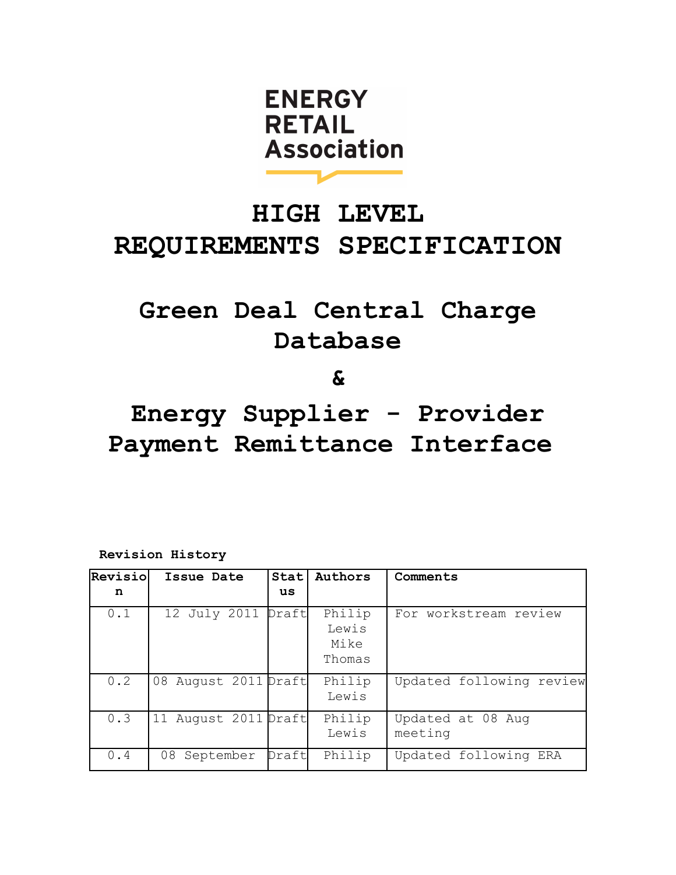# **ENERGY RETAIL Association**

# **HIGH LEVEL REQUIREMENTS SPECIFICATION**

# **Green Deal Central Charge Database**

**&**

# **Energy Supplier - Provider Payment Remittance Interface**

**Revision History**

| Revisio | Issue Date           | Stat  | Authors                           | Comments                     |
|---------|----------------------|-------|-----------------------------------|------------------------------|
| n       |                      | us    |                                   |                              |
| 0.1     | 12 July 2011         | Draft | Philip<br>Lewis<br>Mike<br>Thomas | For workstream review        |
| 0.2     | 08 August 2011 Draft |       | Philip<br>Lewis                   | Updated following review     |
| 0.3     | 11 August 2011 Draft |       | Philip<br>Lewis                   | Updated at 08 Aug<br>meeting |
| 0.4     | 08 September         | Draft | Philip                            | Updated following ERA        |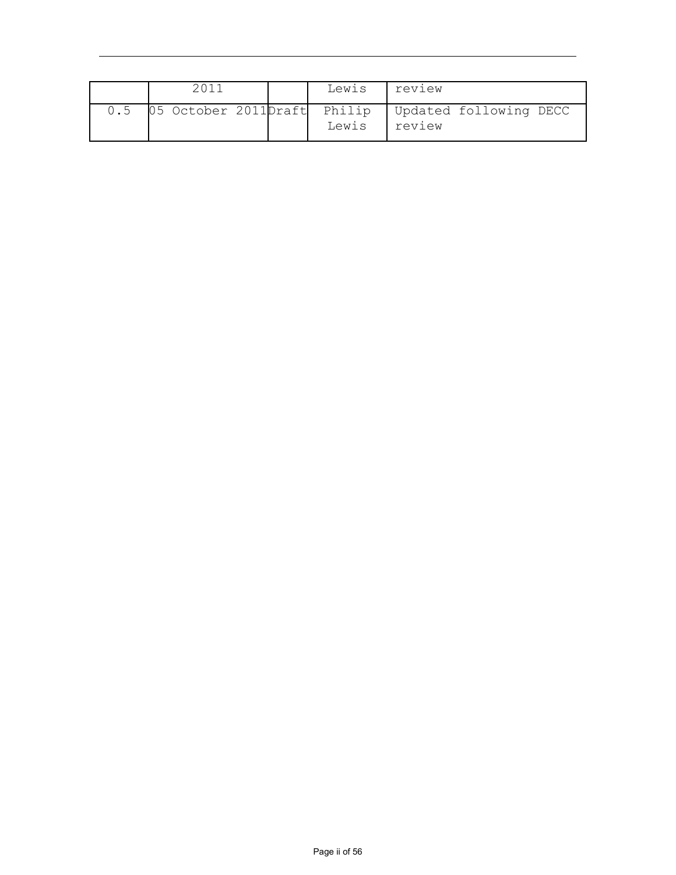|  | Lewis | review                                                              |
|--|-------|---------------------------------------------------------------------|
|  | Lewis | 0.5 05 October 2011 Draft Philip   Updated following DECC<br>review |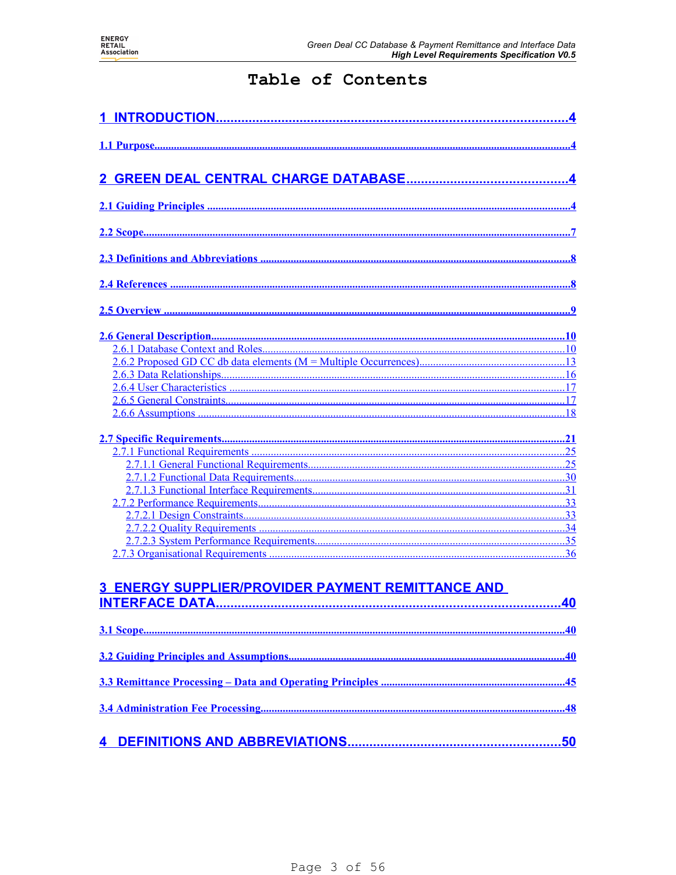# Table of Contents

## 3 ENERGY SUPPLIER/PROVIDER PAYMENT REMITTANCE AND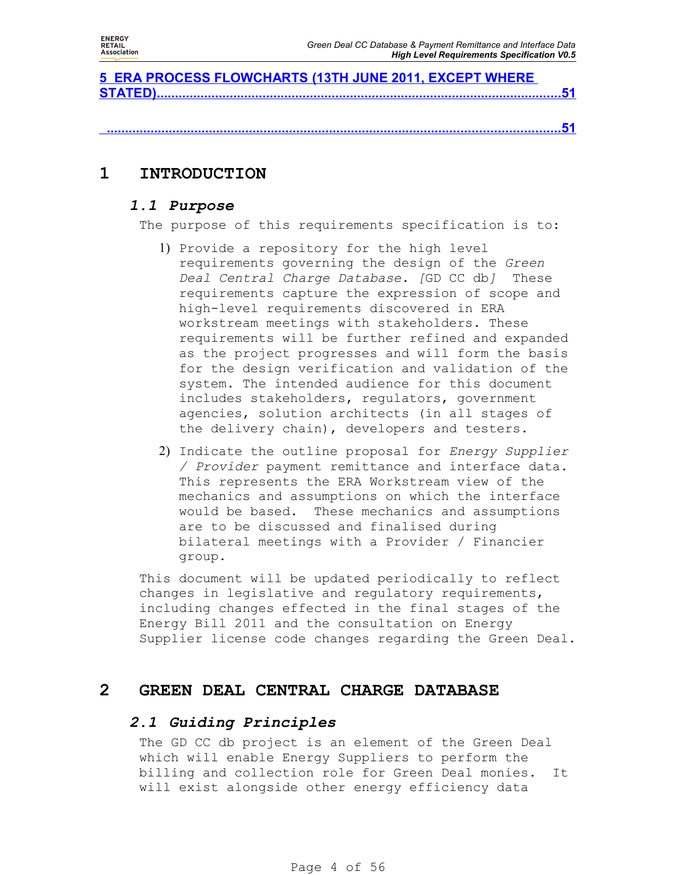| 5 ERA PROCESS FLOWCHARTS (13TH JUNE 2011, EXCEPT WHERE |  |  |
|--------------------------------------------------------|--|--|
|                                                        |  |  |

 **[............................................................................................................................ 51](#page-37-0)**

## **1 INTRODUCTION**

## <span id="page-3-0"></span>*1.1 Purpose*

<span id="page-3-3"></span>The purpose of this requirements specification is to:

- 1) Provide a repository for the high level requirements governing the design of the *Green Deal Central Charge Database. [*GD CC db*]* These requirements capture the expression of scope and high-level requirements discovered in ERA workstream meetings with stakeholders. These requirements will be further refined and expanded as the project progresses and will form the basis for the design verification and validation of the system. The intended audience for this document includes stakeholders, regulators, government agencies, solution architects (in all stages of the delivery chain), developers and testers.
- 2) Indicate the outline proposal for *Energy Supplier / Provider* payment remittance and interface data. This represents the ERA Workstream view of the mechanics and assumptions on which the interface would be based. These mechanics and assumptions are to be discussed and finalised during bilateral meetings with a Provider / Financier group.

This document will be updated periodically to reflect changes in legislative and regulatory requirements, including changes effected in the final stages of the Energy Bill 2011 and the consultation on Energy Supplier license code changes regarding the Green Deal.

## **2 GREEN DEAL CENTRAL CHARGE DATABASE**

## <span id="page-3-2"></span>*2.1 Guiding Principles*

<span id="page-3-1"></span>The GD CC db project is an element of the Green Deal which will enable Energy Suppliers to perform the billing and collection role for Green Deal monies. It will exist alongside other energy efficiency data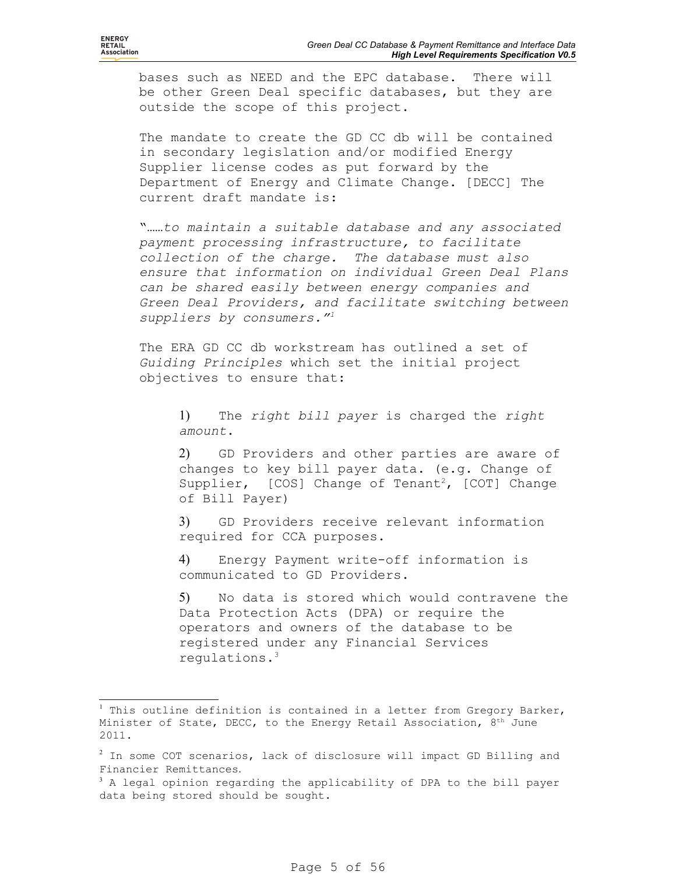bases such as NEED and the EPC database. There will be other Green Deal specific databases, but they are outside the scope of this project.

The mandate to create the GD CC db will be contained in secondary legislation and/or modified Energy Supplier license codes as put forward by the Department of Energy and Climate Change. [DECC] The current draft mandate is:

"……*to maintain a suitable database and any associated payment processing infrastructure, to facilitate collection of the charge. The database must also ensure that information on individual Green Deal Plans can be shared easily between energy companies and Green Deal Providers, and facilitate switching between suppliers by consumers."[1](#page-4-0)*

The ERA GD CC db workstream has outlined a set of *Guiding Principles* which set the initial project objectives to ensure that:

1) The *right bill payer* is charged the *right amount*.

2) GD Providers and other parties are aware of changes to key bill payer data. (e.g. Change of Supplier,  $[COS]$  Change of Tenant<sup>[2](#page-4-1)</sup>,  $[COT]$  Change of Bill Payer)

3) GD Providers receive relevant information required for CCA purposes.

4) Energy Payment write-off information is communicated to GD Providers.

5) No data is stored which would contravene the Data Protection Acts (DPA) or require the operators and owners of the database to be registered under any Financial Services regulations.[3](#page-4-2)

<span id="page-4-0"></span> $1$  This outline definition is contained in a letter from Gregory Barker, Minister of State, DECC, to the Energy Retail Association,  $8<sup>th</sup>$  June 2011.

<span id="page-4-1"></span> $2$  In some COT scenarios, lack of disclosure will impact GD Billing and Financier Remittances.

<span id="page-4-2"></span><sup>&</sup>lt;sup>3</sup> A legal opinion regarding the applicability of DPA to the bill payer data being stored should be sought.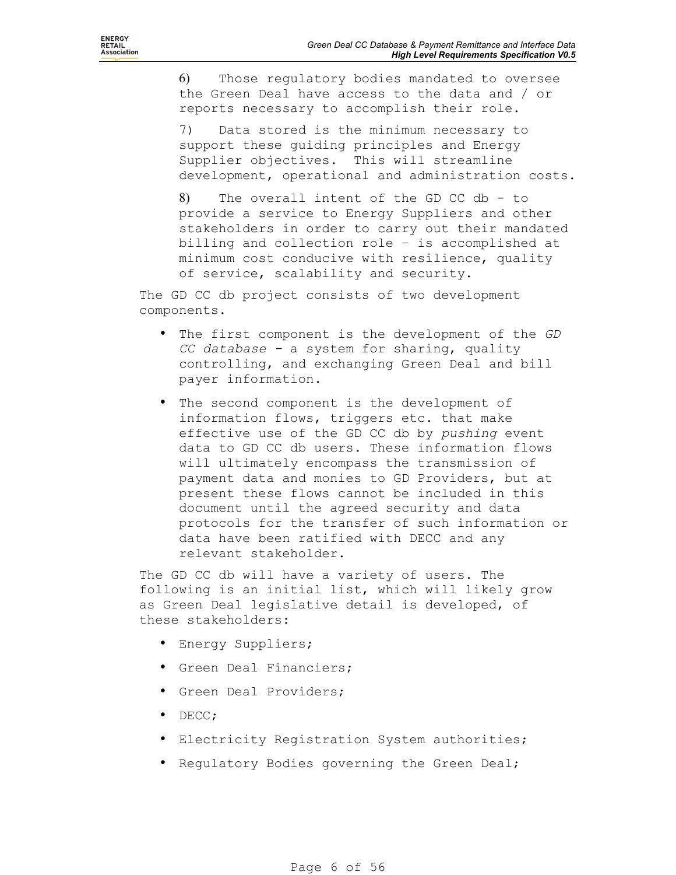6) Those regulatory bodies mandated to oversee the Green Deal have access to the data and / or reports necessary to accomplish their role.

7) Data stored is the minimum necessary to support these guiding principles and Energy Supplier objectives. This will streamline development, operational and administration costs.

8) The overall intent of the GD CC db - to provide a service to Energy Suppliers and other stakeholders in order to carry out their mandated billing and collection role – is accomplished at minimum cost conducive with resilience, quality of service, scalability and security.

The GD CC db project consists of two development components.

- The first component is the development of the *GD CC database -* a system for sharing, quality controlling, and exchanging Green Deal and bill payer information.
- The second component is the development of information flows, triggers etc. that make effective use of the GD CC db by *pushing* event data to GD CC db users. These information flows will ultimately encompass the transmission of payment data and monies to GD Providers, but at present these flows cannot be included in this document until the agreed security and data protocols for the transfer of such information or data have been ratified with DECC and any relevant stakeholder.

The GD CC db will have a variety of users. The following is an initial list, which will likely grow as Green Deal legislative detail is developed, of these stakeholders:

- Energy Suppliers;
- Green Deal Financiers;
- Green Deal Providers;
- DECC;
- Electricity Registration System authorities;
- Regulatory Bodies governing the Green Deal;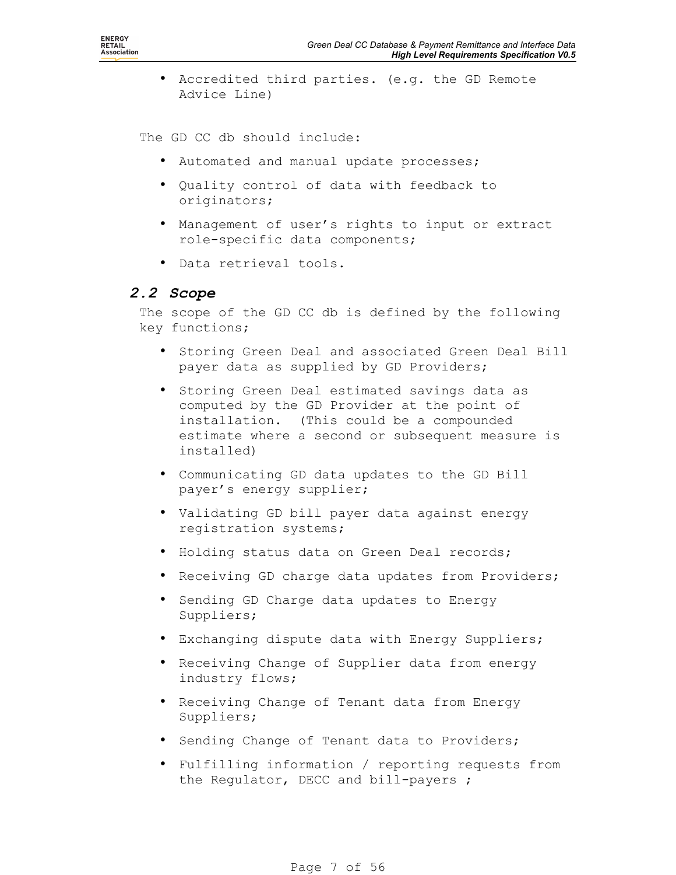• Accredited third parties. (e.g. the GD Remote Advice Line)

The GD CC db should include:

- Automated and manual update processes;
- Quality control of data with feedback to originators;
- Management of user's rights to input or extract role-specific data components;
- <span id="page-6-0"></span>• Data retrieval tools.

## *2.2 Scope*

The scope of the GD CC db is defined by the following key functions;

- Storing Green Deal and associated Green Deal Bill payer data as supplied by GD Providers;
- Storing Green Deal estimated savings data as computed by the GD Provider at the point of installation. (This could be a compounded estimate where a second or subsequent measure is installed)
- Communicating GD data updates to the GD Bill payer's energy supplier;
- Validating GD bill payer data against energy registration systems;
- Holding status data on Green Deal records;
- Receiving GD charge data updates from Providers;
- Sending GD Charge data updates to Energy Suppliers;
- Exchanging dispute data with Energy Suppliers;
- Receiving Change of Supplier data from energy industry flows;
- Receiving Change of Tenant data from Energy Suppliers;
- Sending Change of Tenant data to Providers;
- Fulfilling information / reporting requests from the Regulator, DECC and bill-payers ;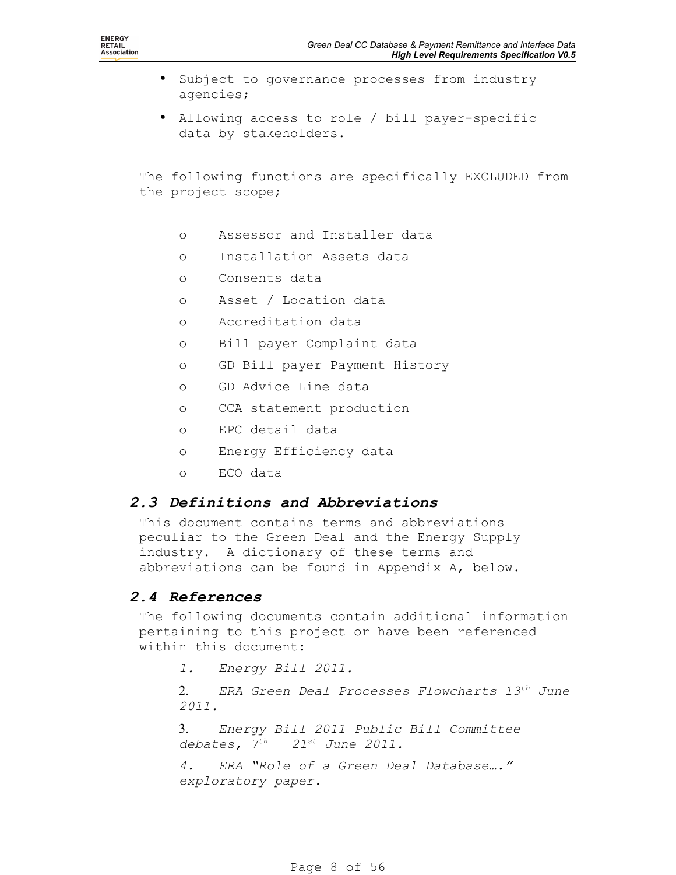- Subject to governance processes from industry agencies;
- Allowing access to role / bill payer-specific data by stakeholders.

The following functions are specifically EXCLUDED from the project scope;

- o Assessor and Installer data
- o Installation Assets data
- o Consents data
- o Asset / Location data
- o Accreditation data
- o Bill payer Complaint data
- o GD Bill payer Payment History
- o GD Advice Line data
- o CCA statement production
- o EPC detail data
- o Energy Efficiency data
- <span id="page-7-1"></span>o ECO data

## *2.3 Definitions and Abbreviations*

This document contains terms and abbreviations peculiar to the Green Deal and the Energy Supply industry. A dictionary of these terms and abbreviations can be found in Appendix A, below.

## *2.4 References*

<span id="page-7-0"></span>The following documents contain additional information pertaining to this project or have been referenced within this document:

*1. Energy Bill 2011.*

2. *ERA Green Deal Processes Flowcharts 13th June 2011.*

3. *Energy Bill 2011 Public Bill Committee debates, 7th – 21st June 2011.*

*4. ERA "Role of a Green Deal Database…." exploratory paper.*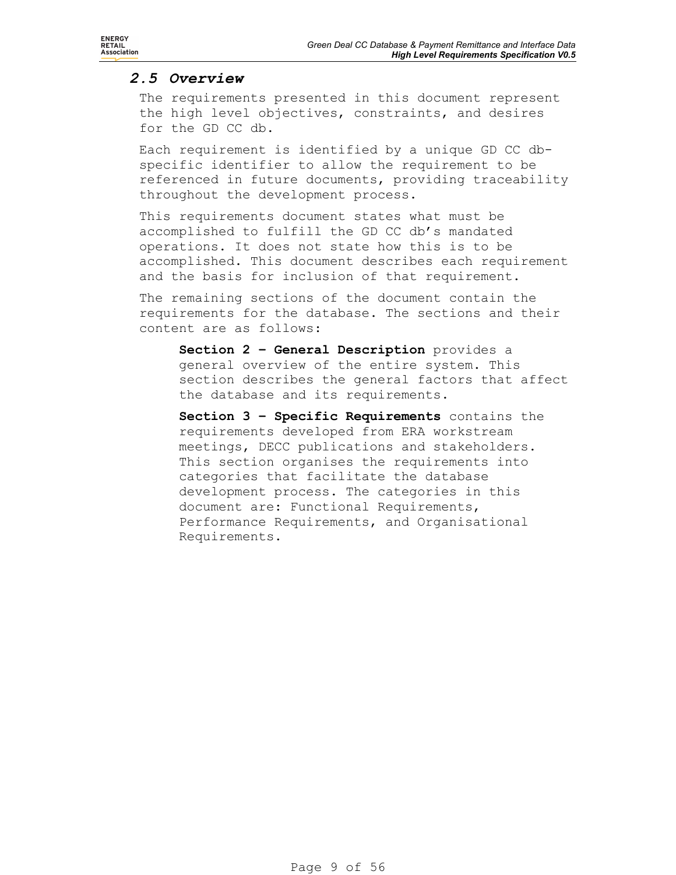## *2.5 Overview*

<span id="page-8-0"></span>The requirements presented in this document represent the high level objectives, constraints, and desires for the GD CC db.

Each requirement is identified by a unique GD CC dbspecific identifier to allow the requirement to be referenced in future documents, providing traceability throughout the development process.

This requirements document states what must be accomplished to fulfill the GD CC db's mandated operations. It does not state how this is to be accomplished. This document describes each requirement and the basis for inclusion of that requirement.

The remaining sections of the document contain the requirements for the database. The sections and their content are as follows:

**Section 2 – General Description** provides a general overview of the entire system. This section describes the general factors that affect the database and its requirements.

**Section 3 – Specific Requirements** contains the requirements developed from ERA workstream meetings, DECC publications and stakeholders. This section organises the requirements into categories that facilitate the database development process. The categories in this document are: Functional Requirements, Performance Requirements, and Organisational Requirements.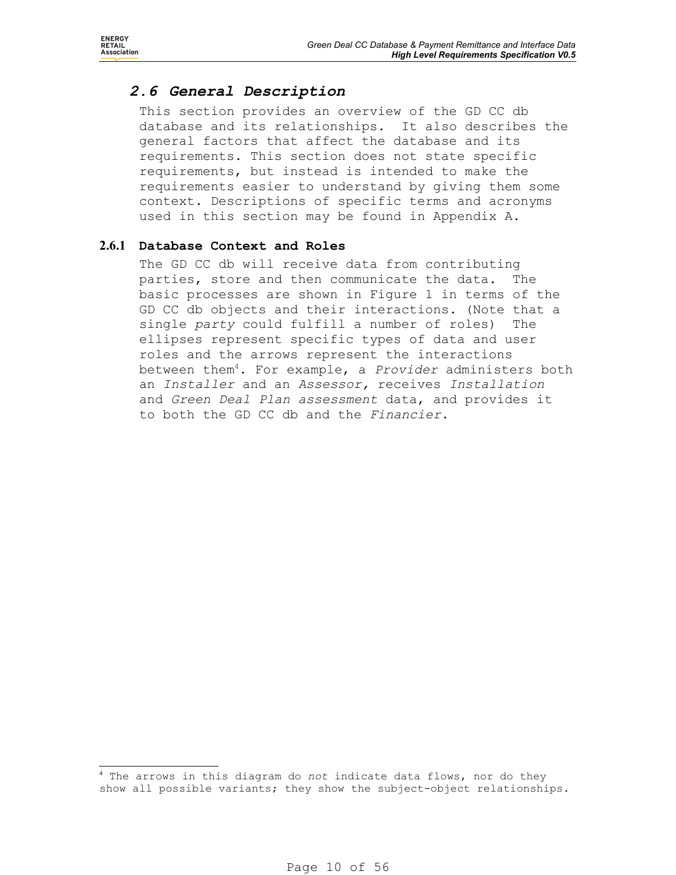## *2.6 General Description*

<span id="page-9-1"></span>This section provides an overview of the GD CC db database and its relationships. It also describes the general factors that affect the database and its requirements. This section does not state specific requirements, but instead is intended to make the requirements easier to understand by giving them some context. Descriptions of specific terms and acronyms used in this section may be found in Appendix A.

## **2.6.1 Database Context and Roles**

<span id="page-9-0"></span>The GD CC db will receive data from contributing parties, store and then communicate the data. The basic processes are shown in Figure 1 in terms of the GD CC db objects and their interactions. (Note that a single *party* could fulfill a number of roles) The ellipses represent specific types of data and user roles and the arrows represent the interactions between them[4](#page-9-2). For example, a *Provider* administers both an *Installer* and an *Assessor,* receives *Installation* and *Green Deal Plan assessment* data, and provides it to both the GD CC db and the *Financier*.

<span id="page-9-2"></span><sup>4</sup> The arrows in this diagram do *not* indicate data flows, nor do they show all possible variants; they show the subject-object relationships.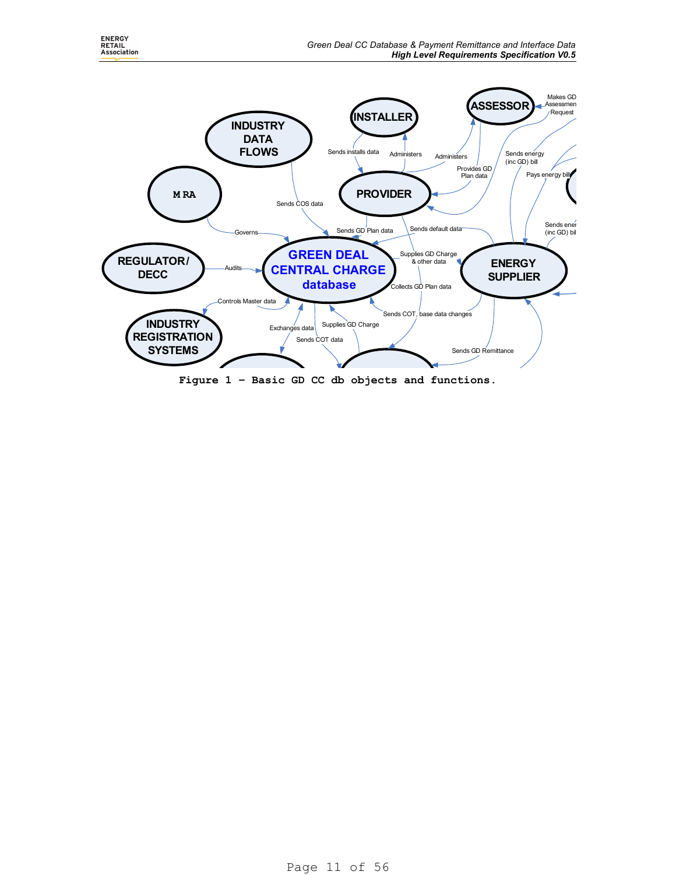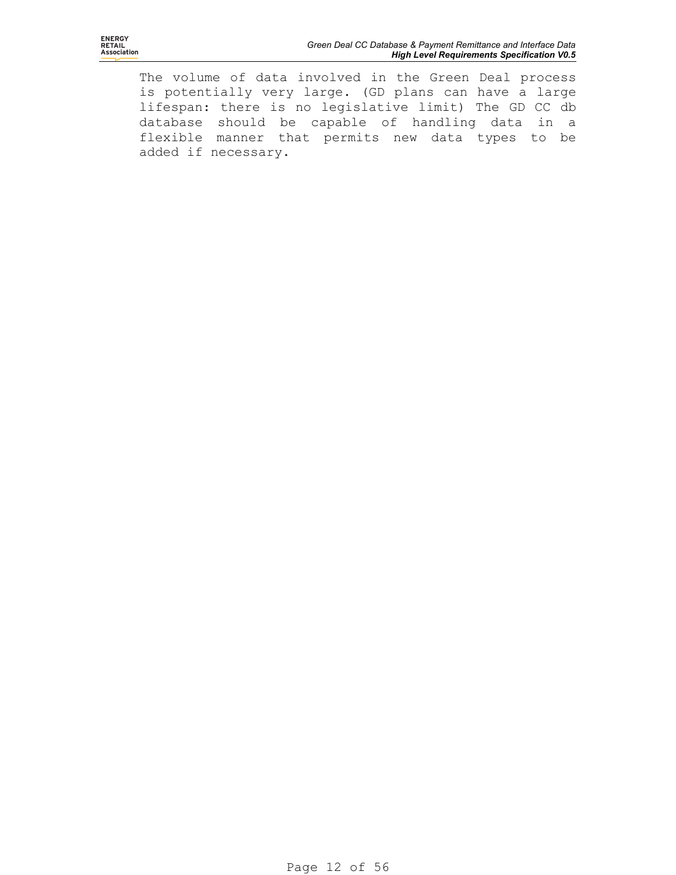The volume of data involved in the Green Deal process is potentially very large. (GD plans can have a large lifespan: there is no legislative limit) The GD CC db database should be capable of handling data in a flexible manner that permits new data types to be added if necessary.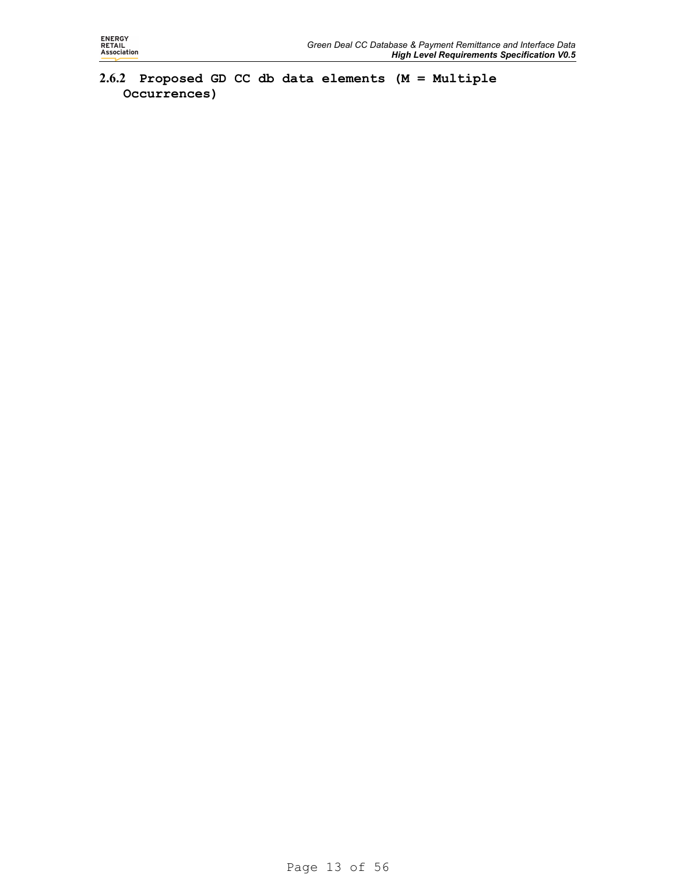<span id="page-12-0"></span>**2.6.2 Proposed GD CC db data elements (M = Multiple Occurrences)**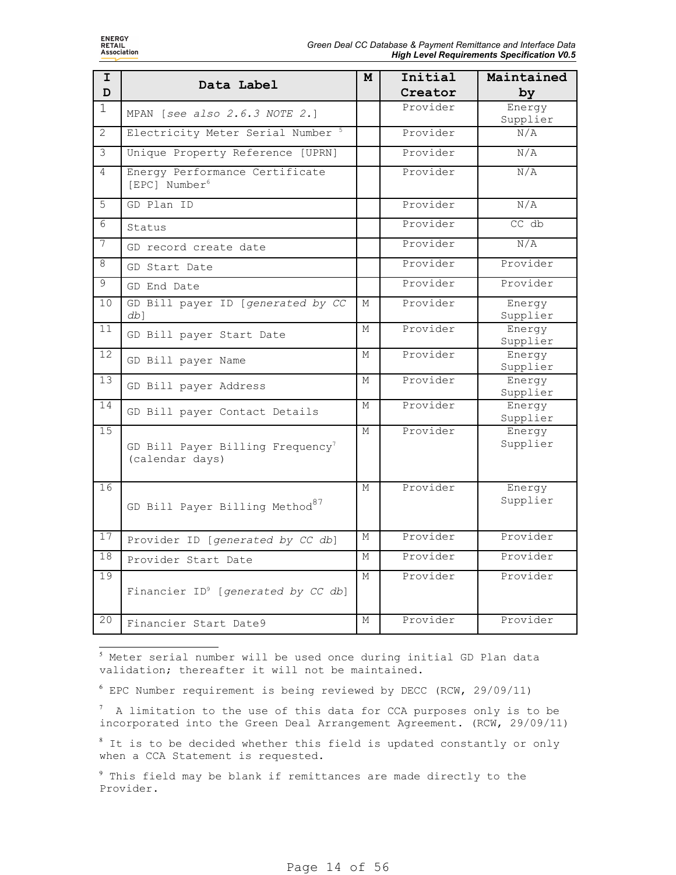| I              | Data Label                                                      | M | Initial  | Maintained         |
|----------------|-----------------------------------------------------------------|---|----------|--------------------|
| D              |                                                                 |   | Creator  | by                 |
| $\mathbf 1$    | MPAN [see also 2.6.3 NOTE 2.]                                   |   | Provider | Energy<br>Supplier |
| $\overline{2}$ | Electricity Meter Serial Number <sup>5</sup>                    |   | Provider | N/A                |
| 3              | Unique Property Reference [UPRN]                                |   | Provider | N/A                |
| $\overline{4}$ | Energy Performance Certificate<br>[EPC] Number <sup>6</sup>     |   | Provider | N/A                |
| 5              | GD Plan ID                                                      |   | Provider | N/A                |
| 6              | Status                                                          |   | Provider | $CC$ db            |
| $\overline{7}$ | GD record create date                                           |   | Provider | N/A                |
| 8              | GD Start Date                                                   |   | Provider | Provider           |
| 9              | GD End Date                                                     |   | Provider | Provider           |
| 10             | GD Bill payer ID [generated by CC<br>db1                        | M | Provider | Energy<br>Supplier |
| 11             | GD Bill payer Start Date                                        | M | Provider | Energy<br>Supplier |
| 12             | GD Bill payer Name                                              | M | Provider | Energy<br>Supplier |
| 13             | GD Bill payer Address                                           | М | Provider | Energy<br>Supplier |
| 14             | GD Bill payer Contact Details                                   | М | Provider | Energy<br>Supplier |
| 15             | GD Bill Payer Billing Frequency <sup>7</sup><br>(calendar days) | М | Provider | Energy<br>Supplier |
| 16             | GD Bill Payer Billing Method <sup>87</sup>                      | М | Provider | Energy<br>Supplier |
| 17             | Provider ID [generated by CC db]                                | М | Provider | Provider           |
| 18             | Provider Start Date                                             | M | Provider | Provider           |
| 19             | Financier ID <sup>9</sup> [generated by CC db]                  | M | Provider | Provider           |
| 20             | Financier Start Date9                                           | М | Provider | Provider           |

<span id="page-13-2"></span> $<sup>5</sup>$  Meter serial number will be used once during initial GD Plan data</sup> validation; thereafter it will not be maintained.

<span id="page-13-3"></span><sup>6</sup> EPC Number requirement is being reviewed by DECC (RCW, 29/09/11)

<span id="page-13-0"></span><sup>7</sup> A limitation to the use of this data for CCA purposes only is to be incorporated into the Green Deal Arrangement Agreement. (RCW, 29/09/11)

<span id="page-13-4"></span><sup>8</sup> It is to be decided whether this field is updated constantly or only when a CCA Statement is requested.

<span id="page-13-1"></span><sup>9</sup> This field may be blank if remittances are made directly to the Provider.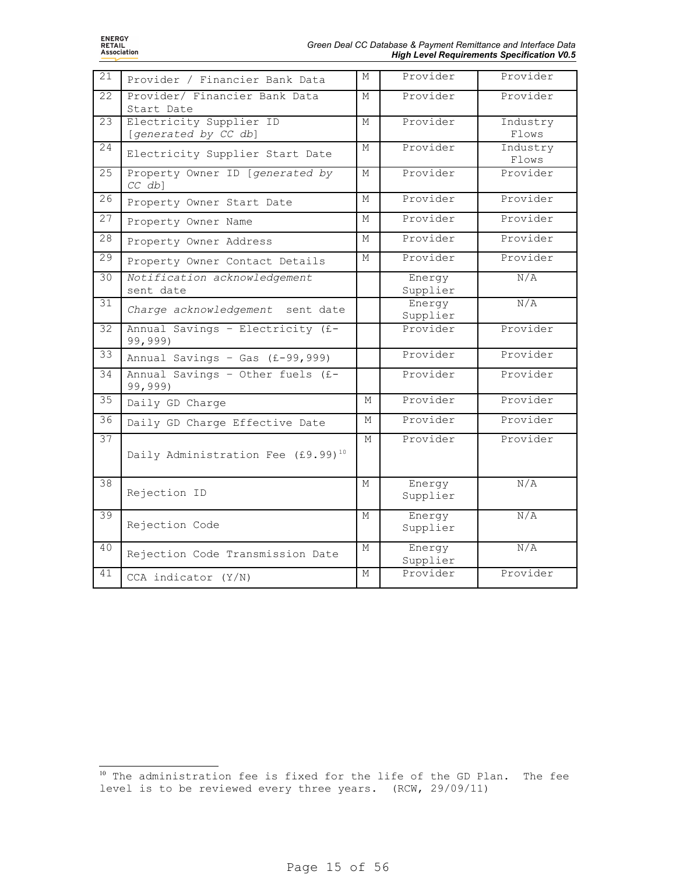| $\overline{21}$ | Provider / Financier Bank Data                 | M | Provider | Provider |
|-----------------|------------------------------------------------|---|----------|----------|
| 22              | Provider/ Financier Bank Data                  | М | Provider | Provider |
|                 | Start Date                                     |   |          |          |
| 23              | Electricity Supplier ID                        | М | Provider | Industry |
|                 | [generated by CC db]                           |   |          | Flows    |
| 24              |                                                | М | Provider | Industry |
|                 | Electricity Supplier Start Date                |   |          | Flows    |
| 25              | Property Owner ID [generated by                | М | Provider | Provider |
|                 | $CC$ $db$ ]                                    |   |          |          |
| 26              |                                                | М | Provider | Provider |
|                 | Property Owner Start Date                      |   |          |          |
| 27              | Property Owner Name                            | М | Provider | Provider |
| 28              |                                                | М | Provider | Provider |
|                 | Property Owner Address                         |   |          |          |
| $\overline{29}$ | Property Owner Contact Details                 | M | Provider | Provider |
| 30              | Notification acknowledgement                   |   | Energy   | N/A      |
|                 | sent date                                      |   | Supplier |          |
| 31              |                                                |   | Energy   | N/A      |
|                 | Charge acknowledgement sent date               |   | Supplier |          |
| 32              | Annual Savings - Electricity (£-               |   | Provider | Provider |
|                 | 99,999)                                        |   |          |          |
| 33              | Annual Savings - Gas (£-99,999)                |   | Provider | Provider |
|                 |                                                |   |          |          |
| $\overline{34}$ | Annual Savings - Other fuels (£-               |   | Provider | Provider |
|                 | 99,999)                                        |   |          |          |
| 35              | Daily GD Charge                                | M | Provider | Provider |
| 36              | Daily GD Charge Effective Date                 | M | Provider | Provider |
| 37              |                                                | М | Provider | Provider |
|                 |                                                |   |          |          |
|                 | Daily Administration Fee (£9.99) <sup>10</sup> |   |          |          |
|                 |                                                |   |          |          |
| 38              |                                                | М | Energy   | N/A      |
|                 | Rejection ID                                   |   | Supplier |          |
|                 |                                                |   |          |          |
| 39              |                                                | М | Energy   | N/A      |
|                 | Rejection Code                                 |   | Supplier |          |
| 40              |                                                | М | Energy   | N/A      |
|                 | Rejection Code Transmission Date               |   | Supplier |          |
| 41              |                                                | M | Provider | Provider |
|                 | $CCA$ indicator $(Y/N)$                        |   |          |          |

<span id="page-14-0"></span> $10$  The administration fee is fixed for the life of the GD Plan. The fee level is to be reviewed every three years. (RCW, 29/09/11)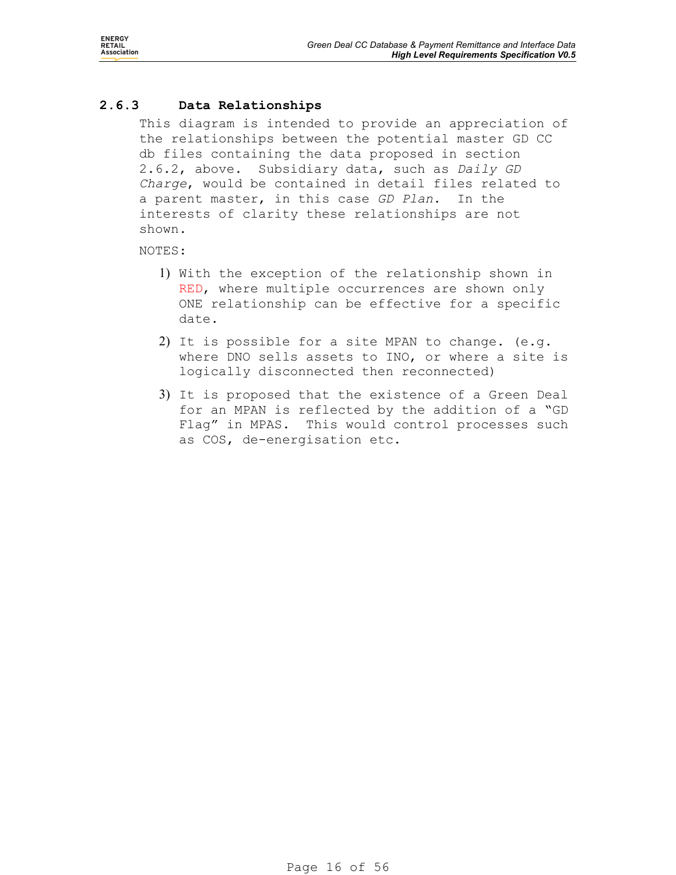## **2.6.3 Data Relationships**

<span id="page-15-0"></span>This diagram is intended to provide an appreciation of the relationships between the potential master GD CC db files containing the data proposed in section 2.6.2, above. Subsidiary data, such as *Daily GD Charge*, would be contained in detail files related to a parent master, in this case *GD Plan*. In the interests of clarity these relationships are not shown.

NOTES:

- 1) With the exception of the relationship shown in RED, where multiple occurrences are shown only ONE relationship can be effective for a specific date.
- 2) It is possible for a site MPAN to change. (e.g. where DNO sells assets to INO, or where a site is logically disconnected then reconnected)
- 3) It is proposed that the existence of a Green Deal for an MPAN is reflected by the addition of a "GD Flag" in MPAS. This would control processes such as COS, de-energisation etc.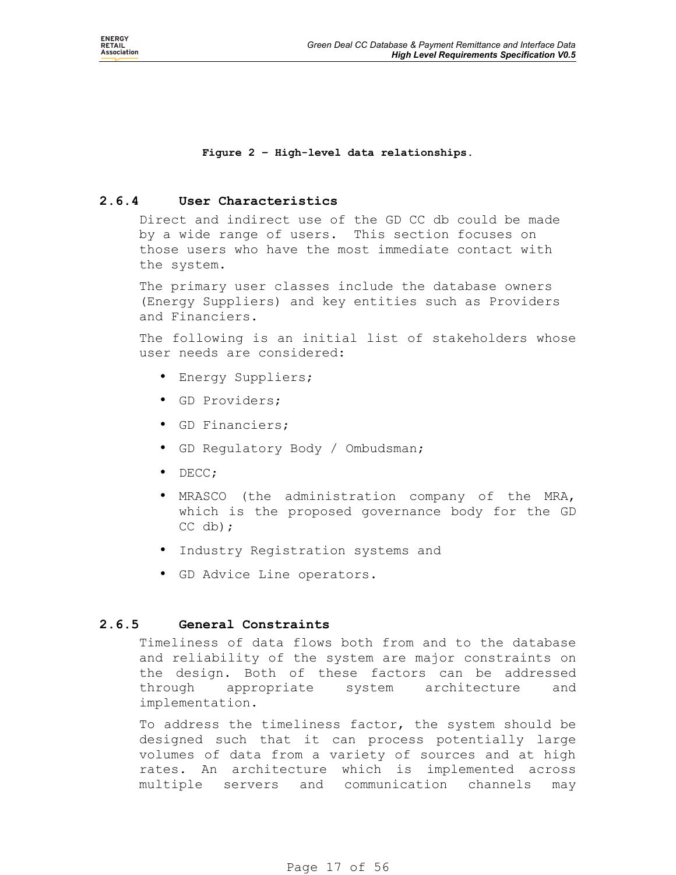**Figure 2 – High-level data relationships.**

### **2.6.4 User Characteristics**

<span id="page-16-1"></span>Direct and indirect use of the GD CC db could be made by a wide range of users. This section focuses on those users who have the most immediate contact with the system.

The primary user classes include the database owners (Energy Suppliers) and key entities such as Providers and Financiers.

The following is an initial list of stakeholders whose user needs are considered:

- Energy Suppliers;
- GD Providers;
- GD Financiers;
- GD Regulatory Body / Ombudsman;
- DECC;
- MRASCO (the administration company of the MRA, which is the proposed governance body for the GD CC db);
- Industry Registration systems and
- GD Advice Line operators.

### **2.6.5 General Constraints**

<span id="page-16-0"></span>Timeliness of data flows both from and to the database and reliability of the system are major constraints on the design. Both of these factors can be addressed through appropriate system architecture and implementation.

To address the timeliness factor, the system should be designed such that it can process potentially large volumes of data from a variety of sources and at high rates. An architecture which is implemented across multiple servers and communication channels may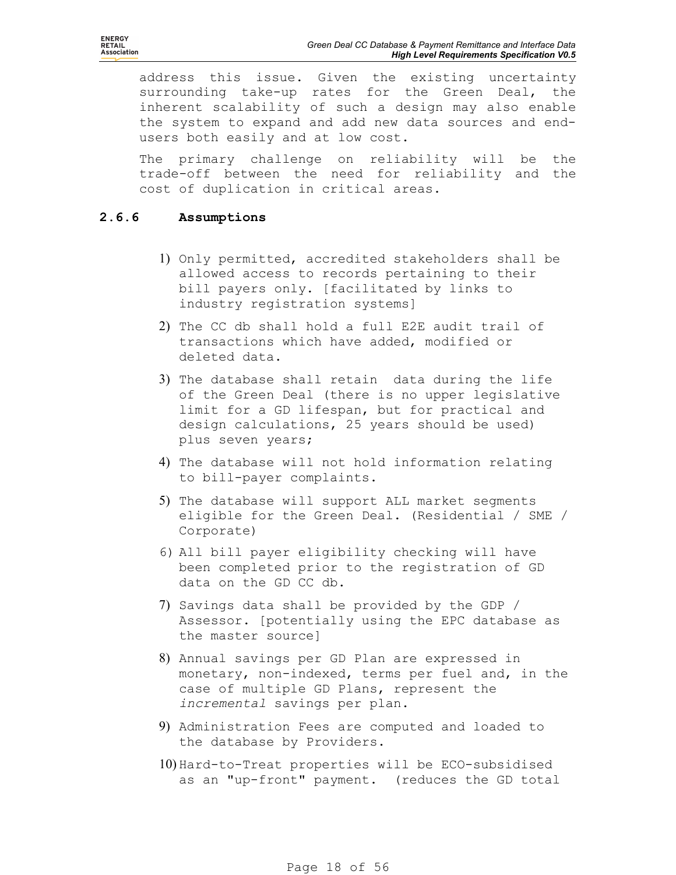address this issue. Given the existing uncertainty surrounding take-up rates for the Green Deal, the inherent scalability of such a design may also enable the system to expand and add new data sources and endusers both easily and at low cost.

The primary challenge on reliability will be the trade-off between the need for reliability and the cost of duplication in critical areas.

#### **2.6.6 Assumptions**

- <span id="page-17-0"></span>1) Only permitted, accredited stakeholders shall be allowed access to records pertaining to their bill payers only. [facilitated by links to industry registration systems]
- 2) The CC db shall hold a full E2E audit trail of transactions which have added, modified or deleted data.
- 3) The database shall retain data during the life of the Green Deal (there is no upper legislative limit for a GD lifespan, but for practical and design calculations, 25 years should be used) plus seven years;
- 4) The database will not hold information relating to bill-payer complaints.
- 5) The database will support ALL market segments eligible for the Green Deal. (Residential / SME / Corporate)
- 6) All bill payer eligibility checking will have been completed prior to the registration of GD data on the GD CC db.
- 7) Savings data shall be provided by the GDP / Assessor. [potentially using the EPC database as the master source]
- 8) Annual savings per GD Plan are expressed in monetary, non-indexed, terms per fuel and, in the case of multiple GD Plans, represent the *incremental* savings per plan.
- 9) Administration Fees are computed and loaded to the database by Providers.
- 10) Hard-to-Treat properties will be ECO-subsidised as an "up-front" payment. (reduces the GD total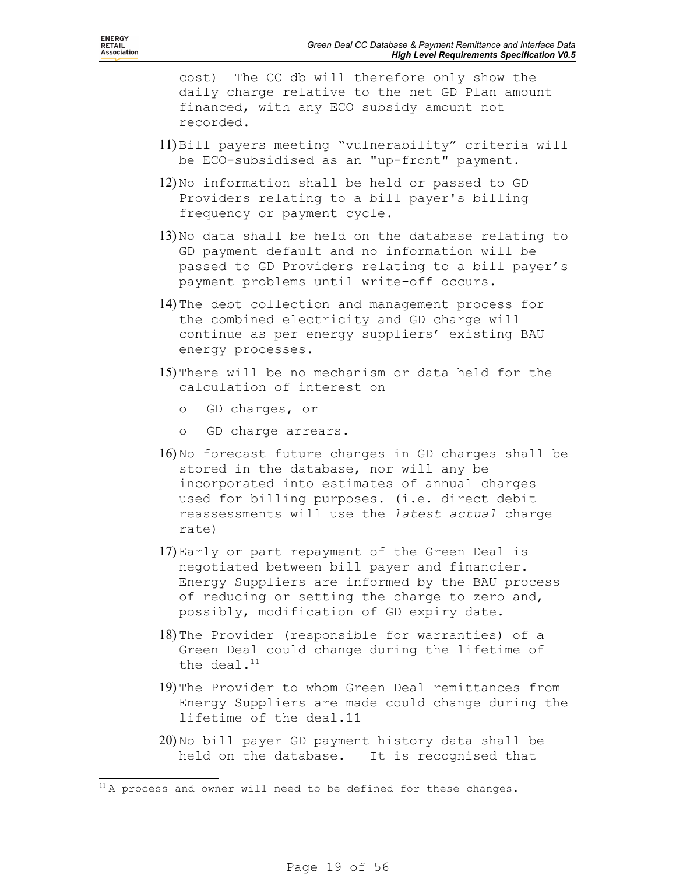cost) The CC db will therefore only show the daily charge relative to the net GD Plan amount financed, with any ECO subsidy amount not recorded.

- 11) Bill payers meeting "vulnerability" criteria will be ECO-subsidised as an "up-front" payment.
- 12) No information shall be held or passed to GD Providers relating to a bill payer's billing frequency or payment cycle.
- 13) No data shall be held on the database relating to GD payment default and no information will be passed to GD Providers relating to a bill payer's payment problems until write-off occurs.
- 14) The debt collection and management process for the combined electricity and GD charge will continue as per energy suppliers' existing BAU energy processes.
- 15) There will be no mechanism or data held for the calculation of interest on
	- o GD charges, or
	- o GD charge arrears.
- 16) No forecast future changes in GD charges shall be stored in the database, nor will any be incorporated into estimates of annual charges used for billing purposes. (i.e. direct debit reassessments will use the *latest actual* charge rate)
- 17) Early or part repayment of the Green Deal is negotiated between bill payer and financier. Energy Suppliers are informed by the BAU process of reducing or setting the charge to zero and, possibly, modification of GD expiry date.
- 18) The Provider (responsible for warranties) of a Green Deal could change during the lifetime of the deal. $11$
- 19) The Provider to whom Green Deal remittances from Energy Suppliers are made could change during the lifetime of the deal[.11](#page-18-0)
- 20) No bill payer GD payment history data shall be held on the database. It is recognised that

<span id="page-18-0"></span> $<sup>11</sup>$  A process and owner will need to be defined for these changes.</sup>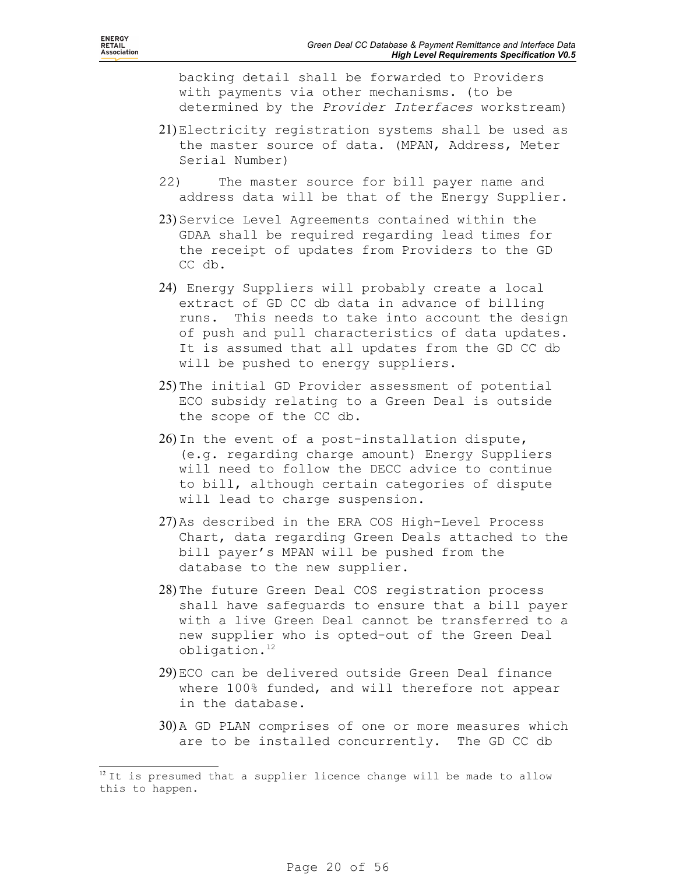backing detail shall be forwarded to Providers with payments via other mechanisms. (to be determined by the *Provider Interfaces* workstream)

- 21) Electricity registration systems shall be used as the master source of data. (MPAN, Address, Meter Serial Number)
- 22) The master source for bill payer name and address data will be that of the Energy Supplier.
- 23) Service Level Agreements contained within the GDAA shall be required regarding lead times for the receipt of updates from Providers to the GD CC db.
- 24) Energy Suppliers will probably create a local extract of GD CC db data in advance of billing runs. This needs to take into account the design of push and pull characteristics of data updates. It is assumed that all updates from the GD CC db will be pushed to energy suppliers.
- 25) The initial GD Provider assessment of potential ECO subsidy relating to a Green Deal is outside the scope of the CC db.
- 26) In the event of a post-installation dispute, (e.g. regarding charge amount) Energy Suppliers will need to follow the DECC advice to continue to bill, although certain categories of dispute will lead to charge suspension.
- 27) As described in the ERA COS High-Level Process Chart, data regarding Green Deals attached to the bill payer's MPAN will be pushed from the database to the new supplier.
- 28) The future Green Deal COS registration process shall have safeguards to ensure that a bill payer with a live Green Deal cannot be transferred to a new supplier who is opted-out of the Green Deal obligation.[12](#page-19-0)
- 29) ECO can be delivered outside Green Deal finance where 100% funded, and will therefore not appear in the database.
- 30) A GD PLAN comprises of one or more measures which are to be installed concurrently. The GD CC db

<span id="page-19-0"></span> $12$ It is presumed that a supplier licence change will be made to allow this to happen.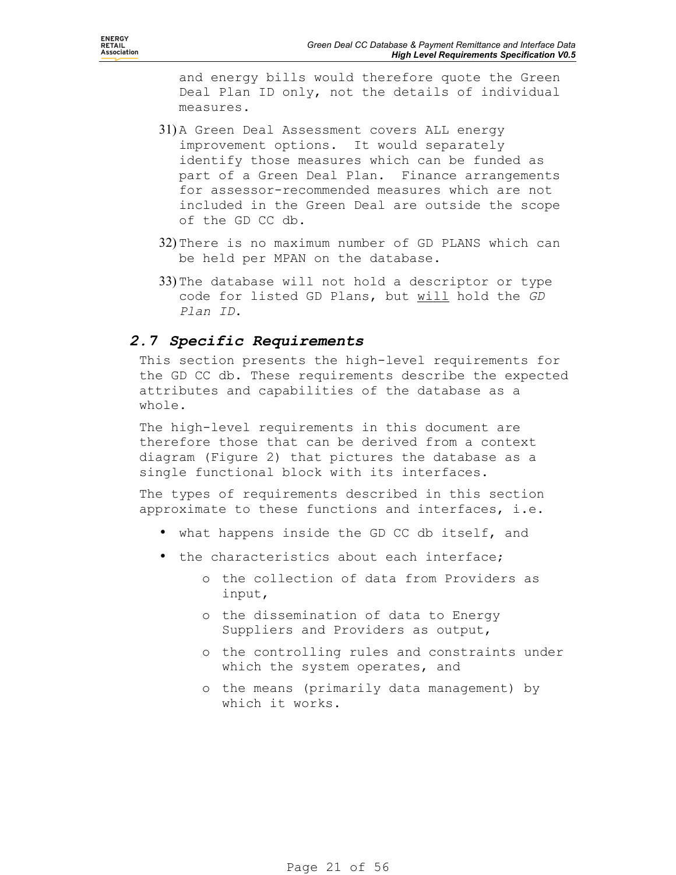and energy bills would therefore quote the Green Deal Plan ID only, not the details of individual measures.

- 31) A Green Deal Assessment covers ALL energy improvement options. It would separately identify those measures which can be funded as part of a Green Deal Plan. Finance arrangements for assessor-recommended measures which are not included in the Green Deal are outside the scope of the GD CC db.
- 32) There is no maximum number of GD PLANS which can be held per MPAN on the database.
- 33) The database will not hold a descriptor or type code for listed GD Plans, but will hold the *GD Plan ID*.

## *2.7 Specific Requirements*

<span id="page-20-0"></span>This section presents the high-level requirements for the GD CC db. These requirements describe the expected attributes and capabilities of the database as a whole.

The high-level requirements in this document are therefore those that can be derived from a context diagram (Figure 2) that pictures the database as a single functional block with its interfaces.

The types of requirements described in this section approximate to these functions and interfaces, i.e.

- what happens inside the GD CC db itself, and
- the characteristics about each interface;
	- o the collection of data from Providers as input,
	- o the dissemination of data to Energy Suppliers and Providers as output,
	- o the controlling rules and constraints under which the system operates, and
	- o the means (primarily data management) by which it works.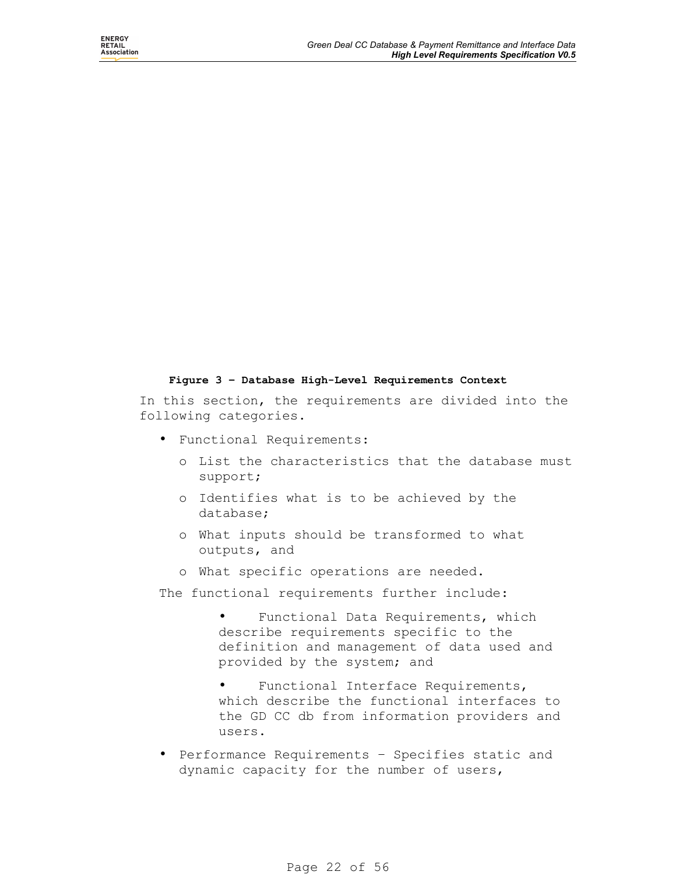#### **Figure 3 – Database High-Level Requirements Context**

In this section, the requirements are divided into the following categories.

- Functional Requirements:
	- o List the characteristics that the database must support;
	- o Identifies what is to be achieved by the database;
	- o What inputs should be transformed to what outputs, and
	- o What specific operations are needed.

The functional requirements further include:

- Functional Data Requirements, which describe requirements specific to the definition and management of data used and provided by the system; and
- Functional Interface Requirements, which describe the functional interfaces to the GD CC db from information providers and users.
- Performance Requirements Specifies static and dynamic capacity for the number of users,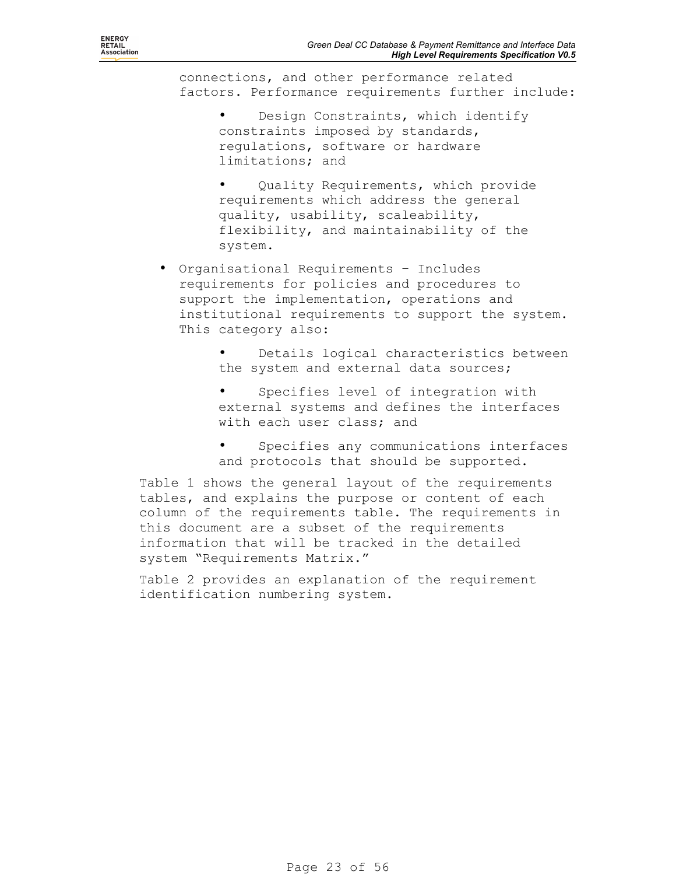connections, and other performance related factors. Performance requirements further include:

- Design Constraints, which identify constraints imposed by standards, regulations, software or hardware limitations; and
- Quality Requirements, which provide requirements which address the general quality, usability, scaleability, flexibility, and maintainability of the system.
- Organisational Requirements Includes requirements for policies and procedures to support the implementation, operations and institutional requirements to support the system. This category also:
	- Details logical characteristics between the system and external data sources;
	- Specifies level of integration with external systems and defines the interfaces with each user class; and
	- Specifies any communications interfaces and protocols that should be supported.

[Table 1](#page-23-1) shows the general layout of the requirements tables, and explains the purpose or content of each column of the requirements table. The requirements in this document are a subset of the requirements information that will be tracked in the detailed system "Requirements Matrix."

[Table 2](#page-23-0) provides an explanation of the requirement identification numbering system.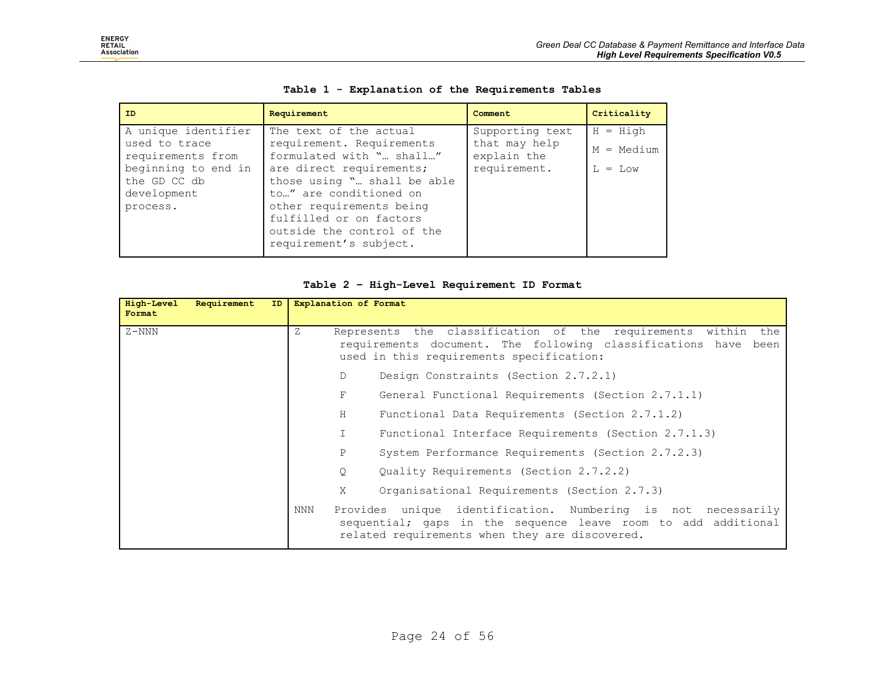| <b>ID</b>                           | Requirement                                                                     | Comment                      | Criticality  |
|-------------------------------------|---------------------------------------------------------------------------------|------------------------------|--------------|
| A unique identifier                 | The text of the actual                                                          | Supporting text              | $H = H$ igh  |
| used to trace<br>requirements from  | requirement. Requirements<br>formulated with " shall"                           | that may help<br>explain the | $M = Medium$ |
| beginning to end in<br>the GD CC db | are direct requirements;<br>those using " shall be able                         | requirement.                 | $L = Low$    |
| development<br>process.             | to" are conditioned on<br>other requirements being                              |                              |              |
|                                     | fulfilled or on factors<br>outside the control of the<br>requirement's subject. |                              |              |

#### **Table 1 - Explanation of the Requirements Tables**

#### <span id="page-23-1"></span><span id="page-23-0"></span>**Table 2 – High-Level Requirement ID Format**

| High-Level<br>Format | Requirement | <b>ID</b> | Explanation of Format                                                                                                                                                                  |
|----------------------|-------------|-----------|----------------------------------------------------------------------------------------------------------------------------------------------------------------------------------------|
|                      |             |           |                                                                                                                                                                                        |
| $Z - NNN$            |             |           | Represents the classification of the requirements within the<br>Z<br>requirements document. The following classifications have been<br>used in this requirements specification:        |
|                      |             |           | Design Constraints (Section 2.7.2.1)<br>D                                                                                                                                              |
|                      |             |           | F<br>General Functional Requirements (Section 2.7.1.1)                                                                                                                                 |
|                      |             |           | Functional Data Requirements (Section 2.7.1.2)<br>H                                                                                                                                    |
|                      |             |           | Functional Interface Requirements (Section 2.7.1.3)<br>$\mathbf{I}$                                                                                                                    |
|                      |             |           | Ρ<br>System Performance Requirements (Section 2.7.2.3)                                                                                                                                 |
|                      |             |           | Quality Requirements (Section 2.7.2.2)<br>Q.                                                                                                                                           |
|                      |             |           | Organisational Requirements (Section 2.7.3)<br>X                                                                                                                                       |
|                      |             |           | Provides unique identification. Numbering is not necessarily<br>NNN<br>sequential; gaps in the sequence leave room to add additional<br>related requirements when they are discovered. |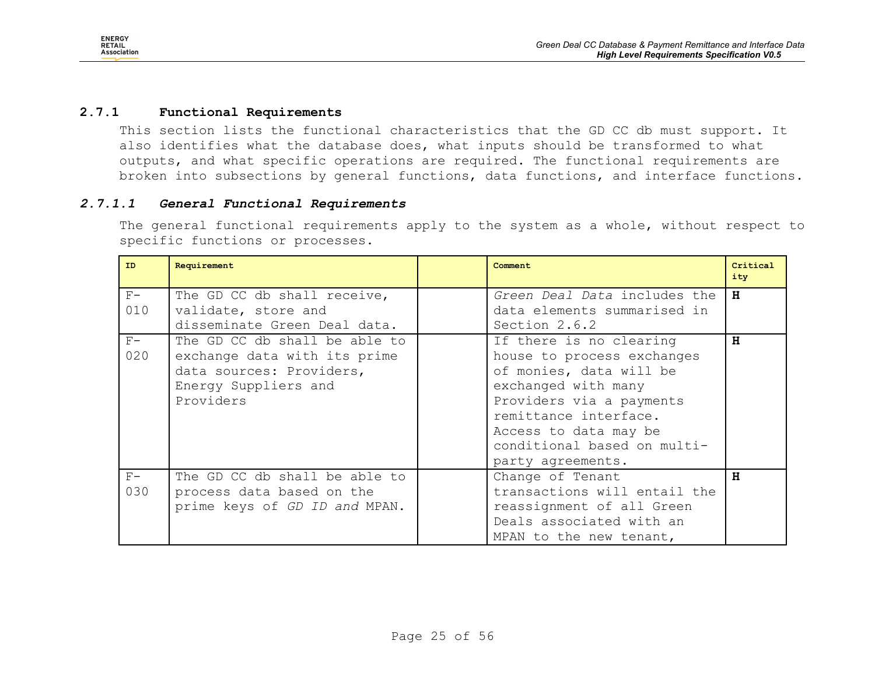

#### **2.7.1 Functional Requirements**

This section lists the functional characteristics that the GD CC db must support. It also identifies what the database does, what inputs should be transformed to what outputs, and what specific operations are required. The functional requirements are broken into subsections by general functions, data functions, and interface functions.

#### *2.7.1.1 General Functional Requirements*

The general functional requirements apply to the system as a whole, without respect to specific functions or processes.

<span id="page-24-1"></span><span id="page-24-0"></span>

| TD.   | Requirement                   | Comment                      | Critical<br>ity |
|-------|-------------------------------|------------------------------|-----------------|
| $F-$  | The GD CC db shall receive,   | Green Deal Data includes the | H               |
| 010   | validate, store and           | data elements summarised in  |                 |
|       | disseminate Green Deal data.  | Section 2.6.2                |                 |
| $F -$ | The GD CC db shall be able to | If there is no clearing      | H               |
| 020   | exchange data with its prime  | house to process exchanges   |                 |
|       | data sources: Providers,      | of monies, data will be      |                 |
|       | Energy Suppliers and          | exchanged with many          |                 |
|       | Providers                     | Providers via a payments     |                 |
|       |                               | remittance interface.        |                 |
|       |                               | Access to data may be        |                 |
|       |                               | conditional based on multi-  |                 |
|       |                               | party agreements.            |                 |
| $F -$ | The GD CC db shall be able to | Change of Tenant             | H               |
| 030   | process data based on the     | transactions will entail the |                 |
|       | prime keys of GD ID and MPAN. | reassignment of all Green    |                 |
|       |                               | Deals associated with an     |                 |
|       |                               | MPAN to the new tenant,      |                 |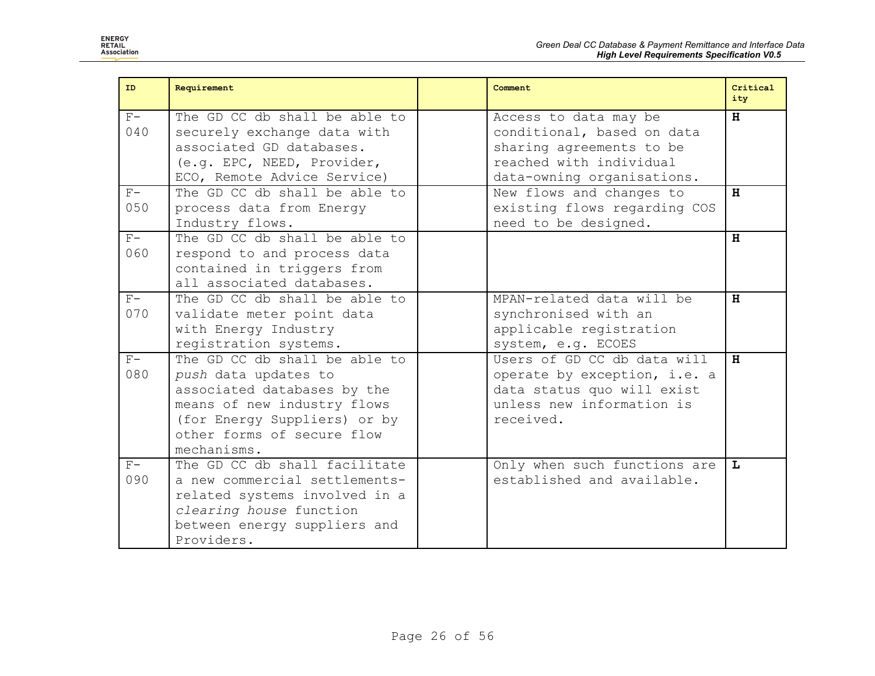| <b>ID</b>     | Requirement                   | Comment                      | Critical<br>ity. |
|---------------|-------------------------------|------------------------------|------------------|
| $\mathrm{F}-$ | The GD CC db shall be able to | Access to data may be        | H                |
| 040           | securely exchange data with   | conditional, based on data   |                  |
|               | associated GD databases.      | sharing agreements to be     |                  |
|               | (e.g. EPC, NEED, Provider,    | reached with individual      |                  |
|               | ECO, Remote Advice Service)   | data-owning organisations.   |                  |
| $\mathrm{F}-$ | The GD CC db shall be able to | New flows and changes to     | H                |
| 050           | process data from Energy      | existing flows regarding COS |                  |
|               | Industry flows.               | need to be designed.         |                  |
| $F-$          | The GD CC db shall be able to |                              | H                |
| 060           | respond to and process data   |                              |                  |
|               | contained in triggers from    |                              |                  |
|               | all associated databases.     |                              |                  |
| $F-$          | The GD CC db shall be able to | MPAN-related data will be    | H                |
| 070           | validate meter point data     | synchronised with an         |                  |
|               | with Energy Industry          | applicable registration      |                  |
|               | registration systems.         | system, e.g. ECOES           |                  |
| $F-$          | The GD CC db shall be able to | Users of GD CC db data will  | H                |
| 080           | push data updates to          | operate by exception, i.e. a |                  |
|               | associated databases by the   | data status quo will exist   |                  |
|               | means of new industry flows   | unless new information is    |                  |
|               | (for Energy Suppliers) or by  | received.                    |                  |
|               | other forms of secure flow    |                              |                  |
|               | mechanisms.                   |                              |                  |
| $F-$          | The GD CC db shall facilitate | Only when such functions are | L                |
| 090           | a new commercial settlements- | established and available.   |                  |
|               | related systems involved in a |                              |                  |
|               | clearing house function       |                              |                  |
|               | between energy suppliers and  |                              |                  |
|               | Providers.                    |                              |                  |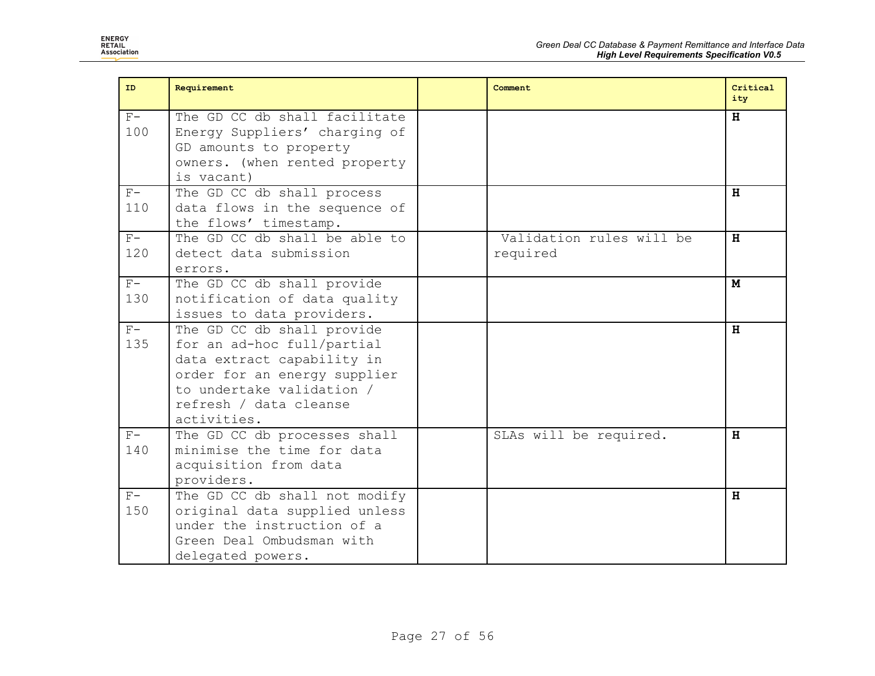

| ID.           | Requirement                   | Comment                  | Critical<br>ity |
|---------------|-------------------------------|--------------------------|-----------------|
| $F-$          | The GD CC db shall facilitate |                          | H               |
| 100           | Energy Suppliers' charging of |                          |                 |
|               | GD amounts to property        |                          |                 |
|               | owners. (when rented property |                          |                 |
|               | is vacant)                    |                          |                 |
| $F-$          | The GD CC db shall process    |                          | H               |
| 110           | data flows in the sequence of |                          |                 |
|               | the flows' timestamp.         |                          |                 |
| $F-$          | The GD CC db shall be able to | Validation rules will be | H               |
| 120           | detect data submission        | required                 |                 |
|               | errors.                       |                          |                 |
| $\mathrm{F}-$ | The GD CC db shall provide    |                          | м               |
| 130           | notification of data quality  |                          |                 |
|               | issues to data providers.     |                          |                 |
| $F-$          | The GD CC db shall provide    |                          | H               |
| 135           | for an ad-hoc full/partial    |                          |                 |
|               | data extract capability in    |                          |                 |
|               | order for an energy supplier  |                          |                 |
|               | to undertake validation /     |                          |                 |
|               | refresh / data cleanse        |                          |                 |
|               | activities.                   |                          |                 |
| $\mathrm{F}-$ | The GD CC db processes shall  | SLAs will be required.   | H               |
| 140           | minimise the time for data    |                          |                 |
|               | acquisition from data         |                          |                 |
|               | providers.                    |                          |                 |
| $\mathrm{F}-$ | The GD CC db shall not modify |                          | H               |
| 150           | original data supplied unless |                          |                 |
|               | under the instruction of a    |                          |                 |
|               | Green Deal Ombudsman with     |                          |                 |
|               | delegated powers.             |                          |                 |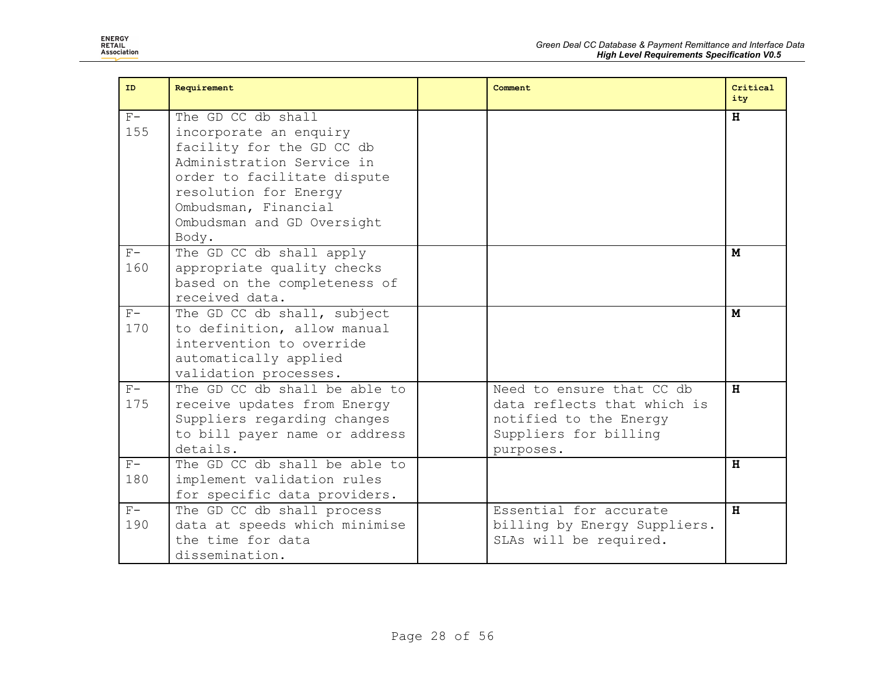| <b>ID</b> | Requirement                   | Comment                      | Critical<br>ity |
|-----------|-------------------------------|------------------------------|-----------------|
| $F-$      | The GD CC db shall            |                              | H               |
| 155       | incorporate an enquiry        |                              |                 |
|           | facility for the GD CC db     |                              |                 |
|           | Administration Service in     |                              |                 |
|           | order to facilitate dispute   |                              |                 |
|           | resolution for Energy         |                              |                 |
|           | Ombudsman, Financial          |                              |                 |
|           | Ombudsman and GD Oversight    |                              |                 |
|           | Body.                         |                              |                 |
| $F-$      | The GD CC db shall apply      |                              | М               |
| 160       | appropriate quality checks    |                              |                 |
|           | based on the completeness of  |                              |                 |
|           | received data.                |                              |                 |
| $F-$      | The GD CC db shall, subject   |                              | M               |
| 170       | to definition, allow manual   |                              |                 |
|           | intervention to override      |                              |                 |
|           | automatically applied         |                              |                 |
|           | validation processes.         |                              |                 |
| $F-$      | The GD CC db shall be able to | Need to ensure that CC db    | H               |
| 175       | receive updates from Energy   | data reflects that which is  |                 |
|           | Suppliers regarding changes   | notified to the Energy       |                 |
|           | to bill payer name or address | Suppliers for billing        |                 |
|           | details.                      | purposes.                    |                 |
| $F-$      | The GD CC db shall be able to |                              | H               |
| 180       | implement validation rules    |                              |                 |
|           | for specific data providers.  |                              |                 |
| $F-$      | The GD CC db shall process    | Essential for accurate       | H               |
| 190       | data at speeds which minimise | billing by Energy Suppliers. |                 |
|           | the time for data             | SLAs will be required.       |                 |
|           | dissemination.                |                              |                 |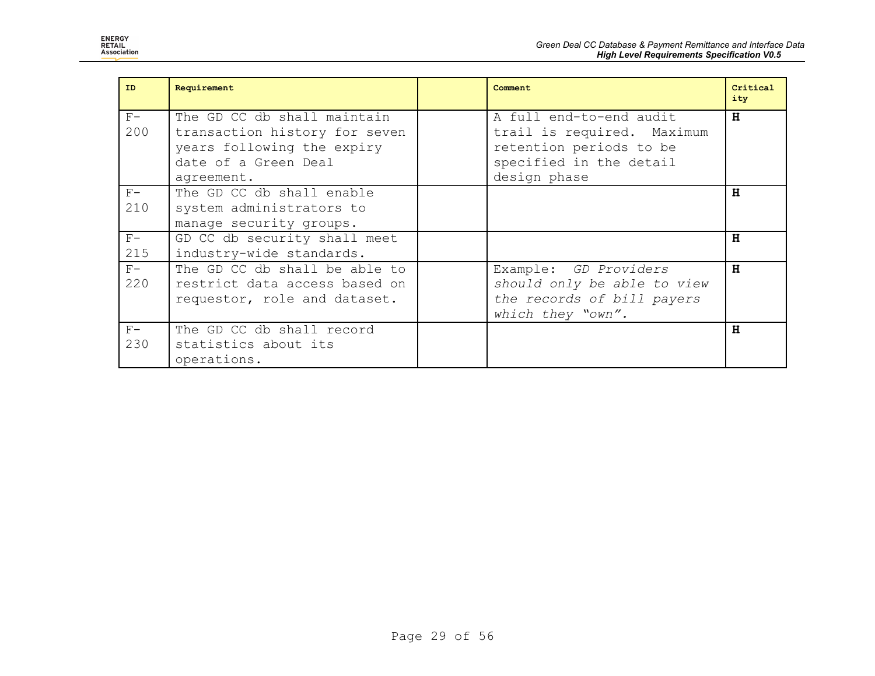

| ID.   | Requirement                   | Comment                     | Critical<br>ity |
|-------|-------------------------------|-----------------------------|-----------------|
| $F -$ | The GD CC db shall maintain   | A full end-to-end audit     | H               |
| 200   | transaction history for seven | trail is required. Maximum  |                 |
|       | years following the expiry    | retention periods to be     |                 |
|       | date of a Green Deal          | specified in the detail     |                 |
|       | agreement.                    | design phase                |                 |
| $F -$ | The GD CC db shall enable     |                             | H               |
| 210   | system administrators to      |                             |                 |
|       | manage security groups.       |                             |                 |
| $F -$ | GD CC db security shall meet  |                             | н               |
| 215   | industry-wide standards.      |                             |                 |
| $F -$ | The GD CC db shall be able to | Example: GD Providers       | H               |
| 220   | restrict data access based on | should only be able to view |                 |
|       | requestor, role and dataset.  | the records of bill payers  |                 |
|       |                               | which they "own".           |                 |
| $F -$ | The GD CC db shall record     |                             | H               |
| 230   | statistics about its          |                             |                 |
|       | operations.                   |                             |                 |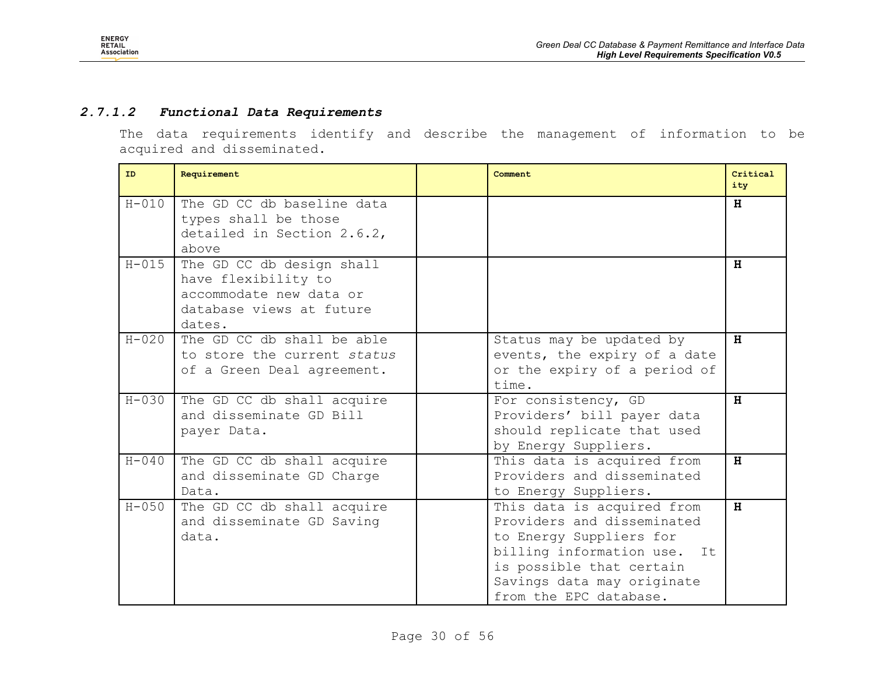

#### *2.7.1.2 Functional Data Requirements*

The data requirements identify and describe the management of information to be acquired and disseminated.

<span id="page-29-0"></span>

| ID.     | Requirement                                                                                                       | Comment                                                                                                                                                                                                | Critical<br>ity |
|---------|-------------------------------------------------------------------------------------------------------------------|--------------------------------------------------------------------------------------------------------------------------------------------------------------------------------------------------------|-----------------|
| $H-010$ | The GD CC db baseline data<br>types shall be those<br>detailed in Section 2.6.2,<br>above                         |                                                                                                                                                                                                        | H               |
| $H-015$ | The GD CC db design shall<br>have flexibility to<br>accommodate new data or<br>database views at future<br>dates. |                                                                                                                                                                                                        | H               |
| $H-020$ | The GD CC db shall be able<br>to store the current status<br>of a Green Deal agreement.                           | Status may be updated by<br>events, the expiry of a date<br>or the expiry of a period of<br>time.                                                                                                      | H               |
| $H-030$ | The GD CC db shall acquire<br>and disseminate GD Bill<br>payer Data.                                              | For consistency, GD<br>Providers' bill payer data<br>should replicate that used<br>by Energy Suppliers.                                                                                                | H               |
| $H-040$ | The GD CC db shall acquire<br>and disseminate GD Charge<br>Data.                                                  | This data is acquired from<br>Providers and disseminated<br>to Energy Suppliers.                                                                                                                       | H               |
| $H-050$ | The GD CC db shall acquire<br>and disseminate GD Saving<br>data.                                                  | This data is acquired from<br>Providers and disseminated<br>to Energy Suppliers for<br>billing information use. It<br>is possible that certain<br>Savings data may originate<br>from the EPC database. | H               |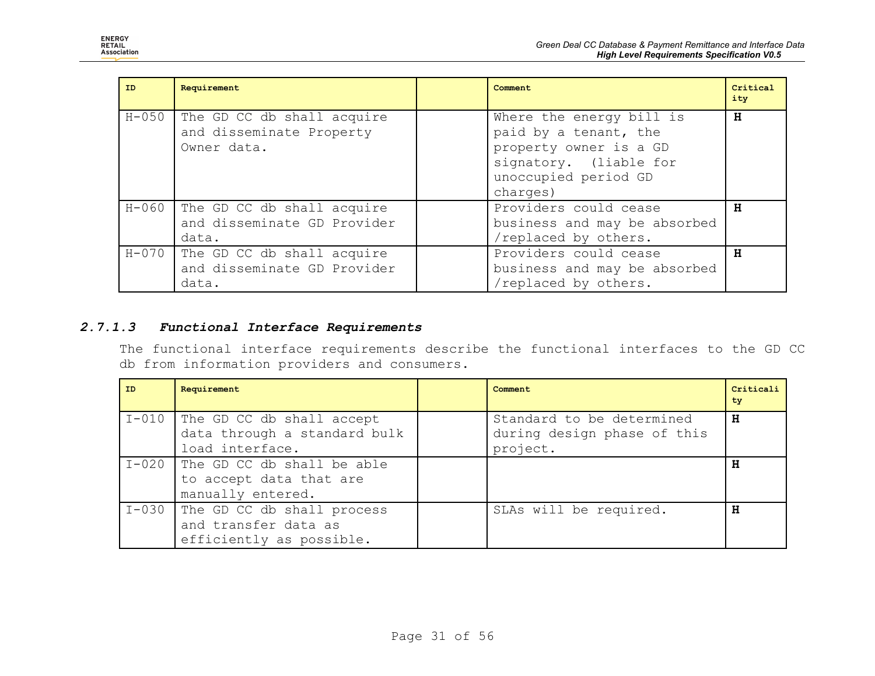| <b>ID</b> | Requirement                                                           | Comment                                                                                                                                   | Critical<br>ity |
|-----------|-----------------------------------------------------------------------|-------------------------------------------------------------------------------------------------------------------------------------------|-----------------|
| H-050     | The GD CC db shall acquire<br>and disseminate Property<br>Owner data. | Where the energy bill is<br>paid by a tenant, the<br>property owner is a GD<br>signatory. (liable for<br>unoccupied period GD<br>charges) | $\mathbf H$     |
| H-060     | The GD CC db shall acquire<br>and disseminate GD Provider<br>data.    | Providers could cease<br>business and may be absorbed<br>/replaced by others.                                                             | H               |
| H-070     | The GD CC db shall acquire<br>and disseminate GD Provider<br>data.    | Providers could cease<br>business and may be absorbed<br>/replaced by others.                                                             | H               |

### *2.7.1.3 Functional Interface Requirements*

The functional interface requirements describe the functional interfaces to the GD CC db from information providers and consumers.

<span id="page-30-0"></span>

| <b>ID</b> | Requirement                        | Comment                     | Criticali<br>tv. |
|-----------|------------------------------------|-----------------------------|------------------|
| $I-010$   | The GD CC db shall accept          | Standard to be determined   | H                |
|           | data through a standard bulk       | during design phase of this |                  |
|           | load interface.                    | project.                    |                  |
|           | $I-020$ The GD CC db shall be able |                             | н                |
|           | to accept data that are            |                             |                  |
|           | manually entered.                  |                             |                  |
|           | $I-030$ The GD CC db shall process | SLAs will be required.      | н                |
|           | and transfer data as               |                             |                  |
|           | efficiently as possible.           |                             |                  |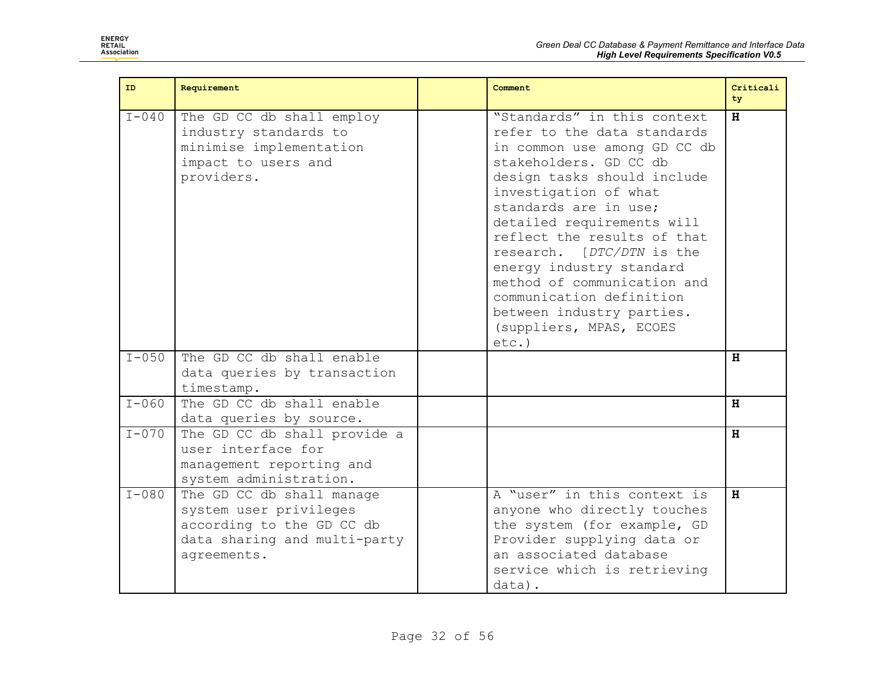| <b>ID</b> | Requirement                                                                                                                     | Comment                                                                                                                                                                                                                                                                                                                                                                                                                                                    | Criticali<br>ty. |
|-----------|---------------------------------------------------------------------------------------------------------------------------------|------------------------------------------------------------------------------------------------------------------------------------------------------------------------------------------------------------------------------------------------------------------------------------------------------------------------------------------------------------------------------------------------------------------------------------------------------------|------------------|
| $I-040$   | The GD CC db shall employ<br>industry standards to<br>minimise implementation<br>impact to users and<br>providers.              | "Standards" in this context<br>refer to the data standards<br>in common use among GD CC db<br>stakeholders. GD CC db<br>design tasks should include<br>investigation of what<br>standards are in use;<br>detailed requirements will<br>reflect the results of that<br>research. [DTC/DTN is the<br>energy industry standard<br>method of communication and<br>communication definition<br>between industry parties.<br>(suppliers, MPAS, ECOES<br>$etc.$ ) | H                |
| $I-050$   | The GD CC db shall enable<br>data queries by transaction<br>timestamp.                                                          |                                                                                                                                                                                                                                                                                                                                                                                                                                                            | H                |
| $I-060$   | The GD CC db shall enable<br>data queries by source.                                                                            |                                                                                                                                                                                                                                                                                                                                                                                                                                                            | H                |
| $I-070$   | The GD CC db shall provide a<br>user interface for<br>management reporting and<br>system administration.                        |                                                                                                                                                                                                                                                                                                                                                                                                                                                            | H                |
| $I-080$   | The GD CC db shall manage<br>system user privileges<br>according to the GD CC db<br>data sharing and multi-party<br>agreements. | A "user" in this context is<br>anyone who directly touches<br>the system (for example, GD<br>Provider supplying data or<br>an associated database<br>service which is retrieving<br>data).                                                                                                                                                                                                                                                                 | H                |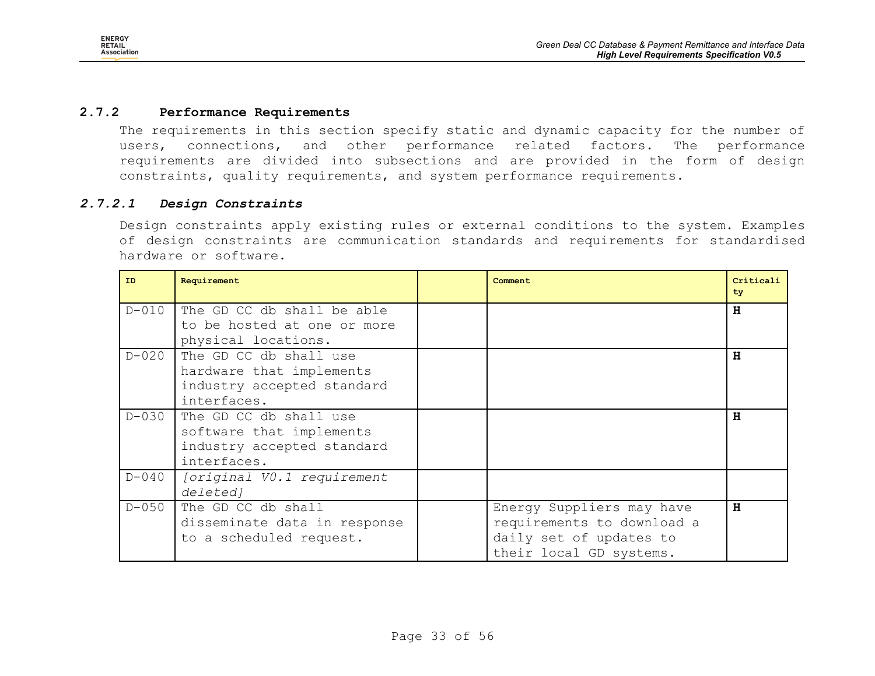

#### **2.7.2 Performance Requirements**

The requirements in this section specify static and dynamic capacity for the number of users, connections, and other performance related factors. The performance requirements are divided into subsections and are provided in the form of design constraints, quality requirements, and system performance requirements.

#### *2.7.2.1 Design Constraints*

Design constraints apply existing rules or external conditions to the system. Examples of design constraints are communication standards and requirements for standardised hardware or software.

<span id="page-32-1"></span><span id="page-32-0"></span>

| <b>ID</b> | Requirement                  | Comment                    | Criticali<br>tv. |
|-----------|------------------------------|----------------------------|------------------|
| $D-010$   | The GD CC db shall be able   |                            | H                |
|           | to be hosted at one or more  |                            |                  |
|           | physical locations.          |                            |                  |
| $D-020$   | The GD CC db shall use       |                            | H                |
|           | hardware that implements     |                            |                  |
|           | industry accepted standard   |                            |                  |
|           | interfaces.                  |                            |                  |
| $D-030$   | The GD CC db shall use       |                            | H                |
|           | software that implements     |                            |                  |
|           | industry accepted standard   |                            |                  |
|           | interfaces.                  |                            |                  |
| $D-040$   | [original VO.1 requirement   |                            |                  |
|           | deleted]                     |                            |                  |
| $D-050$   | The GD CC db shall           | Energy Suppliers may have  | H                |
|           | disseminate data in response | requirements to download a |                  |
|           | to a scheduled request.      | daily set of updates to    |                  |
|           |                              | their local GD systems.    |                  |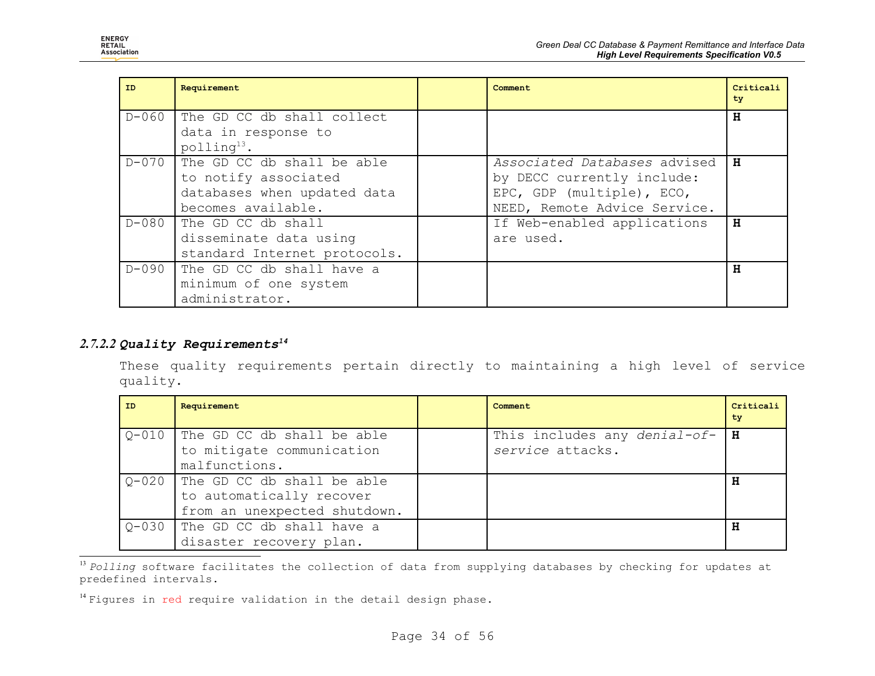| <b>ID</b> | Requirement                                                                                             | Comment                                                                                                                 | Criticali<br>ty. |
|-----------|---------------------------------------------------------------------------------------------------------|-------------------------------------------------------------------------------------------------------------------------|------------------|
| D-060     | The GD CC db shall collect                                                                              |                                                                                                                         | н                |
|           | data in response to<br>polling <sup>13</sup> .                                                          |                                                                                                                         |                  |
| $D-070$   | The GD CC db shall be able<br>to notify associated<br>databases when updated data<br>becomes available. | Associated Databases advised<br>by DECC currently include:<br>EPC, GDP (multiple), ECO,<br>NEED, Remote Advice Service. | H                |
| $D-080$   | The GD CC db shall<br>disseminate data using<br>standard Internet protocols.                            | If Web-enabled applications<br>are used.                                                                                | H                |
| D-090     | The GD CC db shall have a<br>minimum of one system<br>administrator.                                    |                                                                                                                         | H                |

## *2.7.2.2 Quality Requirements[14](#page-33-2)*

These quality requirements pertain directly to maintaining a high level of service quality.

| ID        | Requirement                        | Comment                      | Criticali<br><b>ty</b> |
|-----------|------------------------------------|------------------------------|------------------------|
| $O - 010$ | The GD CC db shall be able         | This includes any denial-of- | H                      |
|           | to mitigate communication          | service attacks.             |                        |
|           | malfunctions.                      |                              |                        |
|           | $Q-020$ The GD CC db shall be able |                              | н                      |
|           | to automatically recover           |                              |                        |
|           | from an unexpected shutdown.       |                              |                        |
| $Q - 030$ | The GD CC db shall have a          |                              | н                      |
|           | disaster recovery plan.            |                              |                        |

<span id="page-33-1"></span><span id="page-33-0"></span><sup>13</sup> Polling software facilitates the collection of data from supplying databases by checking for updates at predefined intervals.

<span id="page-33-2"></span><sup>14</sup> Figures in red require validation in the detail design phase.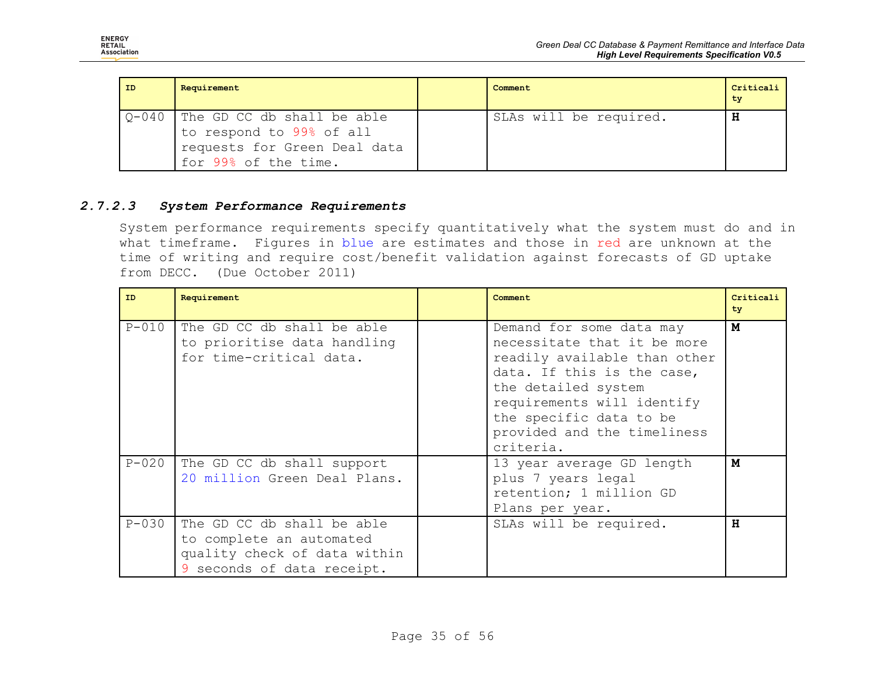

| ID      | Requirement                                                                                                    | Comment                | Criticali<br>ty |
|---------|----------------------------------------------------------------------------------------------------------------|------------------------|-----------------|
| $O-040$ | The GD CC db shall be able<br>to respond to 99% of all<br>requests for Green Deal data<br>for 99% of the time. | SLAs will be required. |                 |

#### *2.7.2.3 System Performance Requirements*

System performance requirements specify quantitatively what the system must do and in what timeframe. Figures in blue are estimates and those in red are unknown at the time of writing and require cost/benefit validation against forecasts of GD uptake from DECC. (Due October 2011)

<span id="page-34-0"></span>

| <b>ID</b> | Requirement                                                                                                          | Comment                                                                                                                                                                                                                                           | Criticali<br>ty |
|-----------|----------------------------------------------------------------------------------------------------------------------|---------------------------------------------------------------------------------------------------------------------------------------------------------------------------------------------------------------------------------------------------|-----------------|
| $P-010$   | The GD CC db shall be able<br>to prioritise data handling<br>for time-critical data.                                 | Demand for some data may<br>necessitate that it be more<br>readily available than other<br>data. If this is the case,<br>the detailed system<br>requirements will identify<br>the specific data to be<br>provided and the timeliness<br>criteria. | M               |
| $P-020$   | The GD CC db shall support<br>20 million Green Deal Plans.                                                           | 13 year average GD length<br>plus 7 years legal<br>retention; 1 million GD<br>Plans per year.                                                                                                                                                     | M               |
| $P-030$   | The GD CC db shall be able<br>to complete an automated<br>quality check of data within<br>9 seconds of data receipt. | SLAs will be required.                                                                                                                                                                                                                            | H               |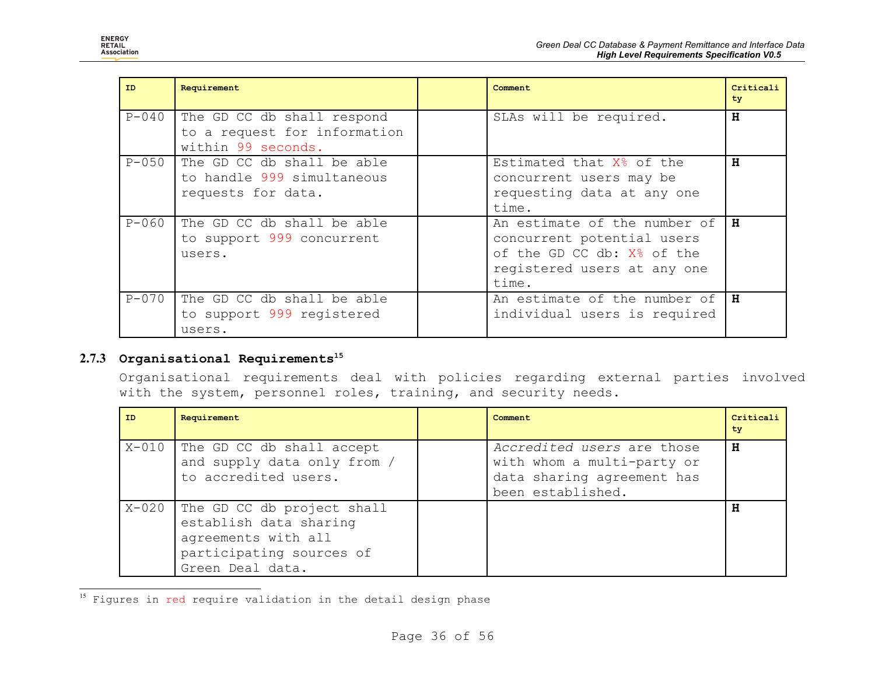| <b>TD</b> | Requirement                                                                      | Comment                                                                                                                          | Criticali<br>ty. |
|-----------|----------------------------------------------------------------------------------|----------------------------------------------------------------------------------------------------------------------------------|------------------|
| $P-040$   | The GD CC db shall respond<br>to a request for information<br>within 99 seconds. | SLAs will be required.                                                                                                           | H                |
| $P-050$   | The GD CC db shall be able<br>to handle 999 simultaneous<br>requests for data.   | Estimated that X% of the<br>concurrent users may be<br>requesting data at any one<br>time.                                       | H                |
| $P-060$   | The GD CC db shall be able<br>to support 999 concurrent<br>users.                | An estimate of the number of<br>concurrent potential users<br>of the GD CC db: X% of the<br>registered users at any one<br>time. | H                |
| $P-070$   | The GD CC db shall be able<br>to support 999 registered<br>users.                | An estimate of the number of<br>individual users is required                                                                     | $\mathbf H$      |

## **2.7.3 Organisational Requirements[15](#page-35-1)**

Organisational requirements deal with policies regarding external parties involved with the system, personnel roles, training, and security needs.

| <b>TD</b> | Requirement                                                                                                                 | Comment                                                                                                     | Criticali<br>ty. |
|-----------|-----------------------------------------------------------------------------------------------------------------------------|-------------------------------------------------------------------------------------------------------------|------------------|
| $X-010$   | The GD CC db shall accept<br>and supply data only from /<br>to accredited users.                                            | Accredited users are those<br>with whom a multi-party or<br>data sharing agreement has<br>been established. | н                |
| X-020     | The GD CC db project shall<br>establish data sharing<br>agreements with all<br>participating sources of<br>Green Deal data. |                                                                                                             | н                |

<span id="page-35-1"></span><span id="page-35-0"></span><sup>&</sup>lt;sup>15</sup> Figures in red require validation in the detail design phase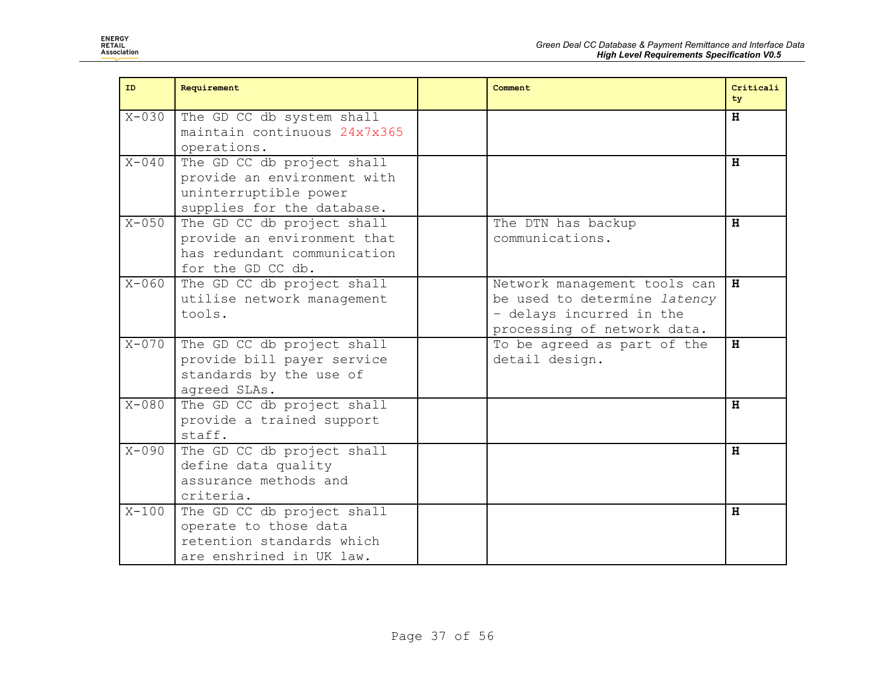| <b>ID</b> | Requirement                                                                                                      | Comment                                                                                                                 | Criticali<br>ty |
|-----------|------------------------------------------------------------------------------------------------------------------|-------------------------------------------------------------------------------------------------------------------------|-----------------|
| $X-030$   | The GD CC db system shall<br>maintain continuous 24x7x365<br>operations.                                         |                                                                                                                         | H               |
| $X-040$   | The GD CC db project shall<br>provide an environment with<br>uninterruptible power<br>supplies for the database. |                                                                                                                         | H               |
| $X-050$   | The GD CC db project shall<br>provide an environment that<br>has redundant communication<br>for the GD CC db.    | The DTN has backup<br>communications.                                                                                   | H               |
| $X-060$   | The GD CC db project shall<br>utilise network management<br>tools.                                               | Network management tools can<br>be used to determine latency<br>- delays incurred in the<br>processing of network data. | H               |
| $X-070$   | The GD CC db project shall<br>provide bill payer service<br>standards by the use of<br>agreed SLAs.              | To be agreed as part of the<br>detail design.                                                                           | H               |
| $X-080$   | The GD CC db project shall<br>provide a trained support<br>staff.                                                |                                                                                                                         | H               |
| $X-090$   | The GD CC db project shall<br>define data quality<br>assurance methods and<br>criteria.                          |                                                                                                                         | H               |
| $X-100$   | The GD CC db project shall<br>operate to those data<br>retention standards which<br>are enshrined in UK law.     |                                                                                                                         | H               |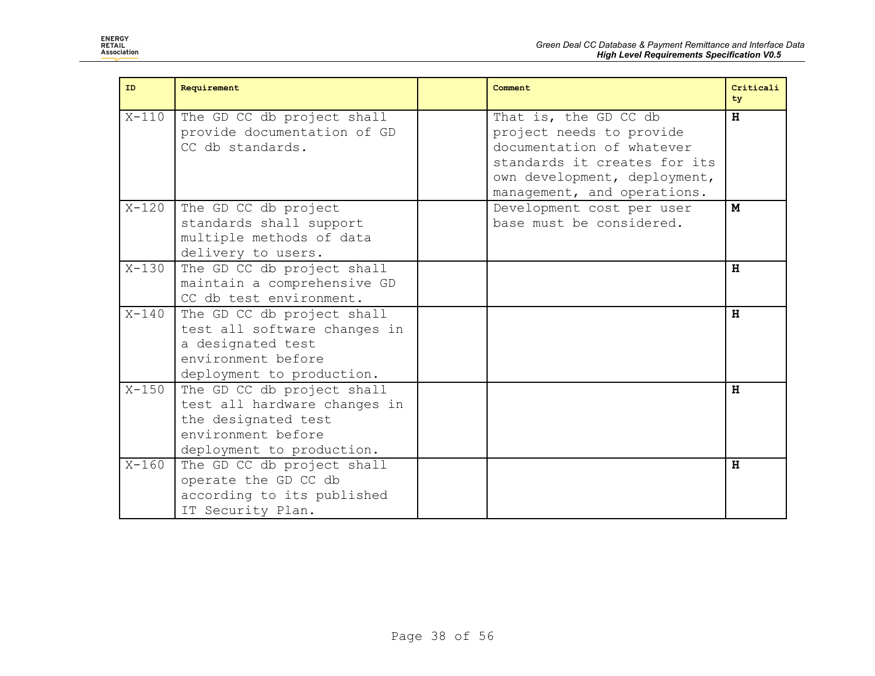<span id="page-37-0"></span>

| ID.       | Requirement                                                                                                                          | Comment                                                                                                                                                                       | Criticali<br>tv. |
|-----------|--------------------------------------------------------------------------------------------------------------------------------------|-------------------------------------------------------------------------------------------------------------------------------------------------------------------------------|------------------|
| $X-110$   | The GD CC db project shall<br>provide documentation of GD<br>CC db standards.                                                        | That is, the GD CC db<br>project needs to provide<br>documentation of whatever<br>standards it creates for its<br>own development, deployment,<br>management, and operations. | H                |
| $X-120$   | The GD CC db project<br>standards shall support<br>multiple methods of data<br>delivery to users.                                    | Development cost per user<br>base must be considered.                                                                                                                         | M                |
| $X-130$   | The GD CC db project shall<br>maintain a comprehensive GD<br>CC db test environment.                                                 |                                                                                                                                                                               | H                |
| $X-140$   | The GD CC db project shall<br>test all software changes in<br>a designated test<br>environment before<br>deployment to production.   |                                                                                                                                                                               | H                |
| $X-150$   | The GD CC db project shall<br>test all hardware changes in<br>the designated test<br>environment before<br>deployment to production. |                                                                                                                                                                               | H                |
| $X - 160$ | The GD CC db project shall<br>operate the GD CC db<br>according to its published<br>IT Security Plan.                                |                                                                                                                                                                               | H                |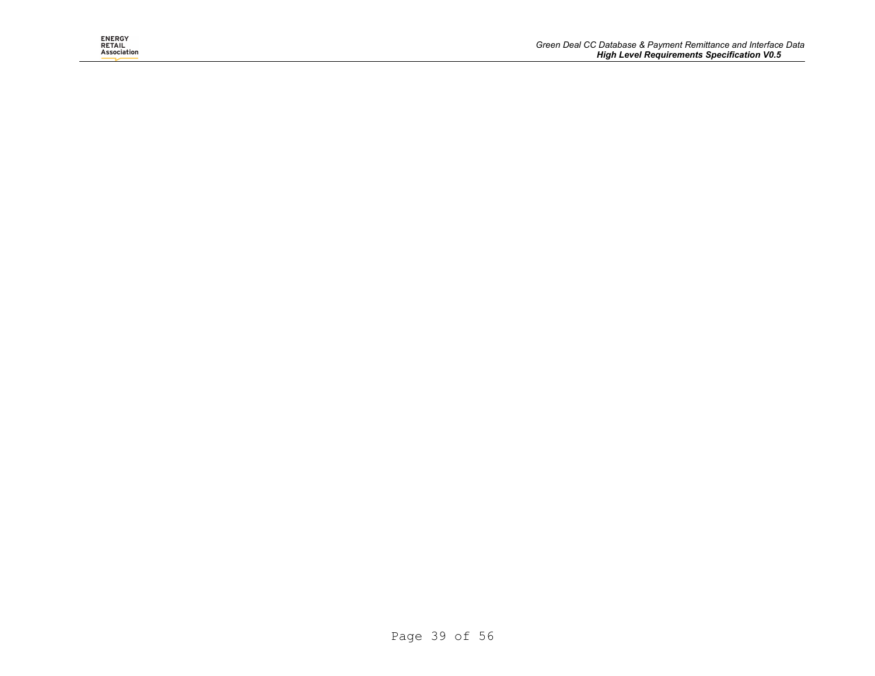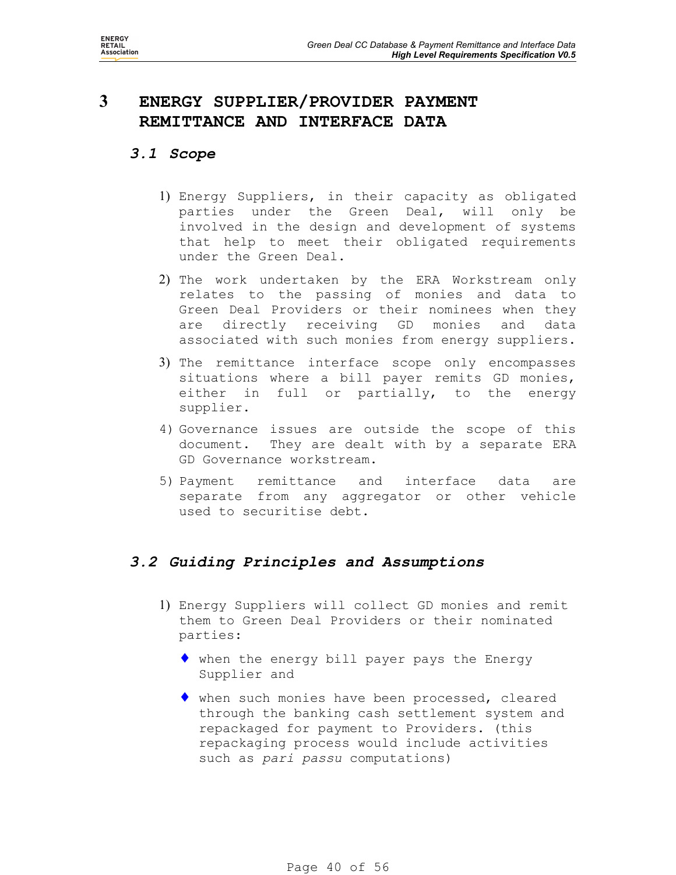## <span id="page-39-2"></span>**3 ENERGY SUPPLIER/PROVIDER PAYMENT REMITTANCE AND INTERFACE DATA**

## <span id="page-39-1"></span>*3.1 Scope*

- 1) Energy Suppliers, in their capacity as obligated parties under the Green Deal, will only be involved in the design and development of systems that help to meet their obligated requirements under the Green Deal.
- 2) The work undertaken by the ERA Workstream only relates to the passing of monies and data to Green Deal Providers or their nominees when they are directly receiving GD monies and data associated with such monies from energy suppliers.
- 3) The remittance interface scope only encompasses situations where a bill payer remits GD monies, either in full or partially, to the energy supplier.
- 4) Governance issues are outside the scope of this document. They are dealt with by a separate ERA GD Governance workstream.
- 5) Payment remittance and interface data are separate from any aggregator or other vehicle used to securitise debt.

## <span id="page-39-0"></span>*3.2 Guiding Principles and Assumptions*

- 1) Energy Suppliers will collect GD monies and remit them to Green Deal Providers or their nominated parties:
	- ♦ when the energy bill payer pays the Energy Supplier and
	- ♦ when such monies have been processed, cleared through the banking cash settlement system and repackaged for payment to Providers. (this repackaging process would include activities such as *pari passu* computations)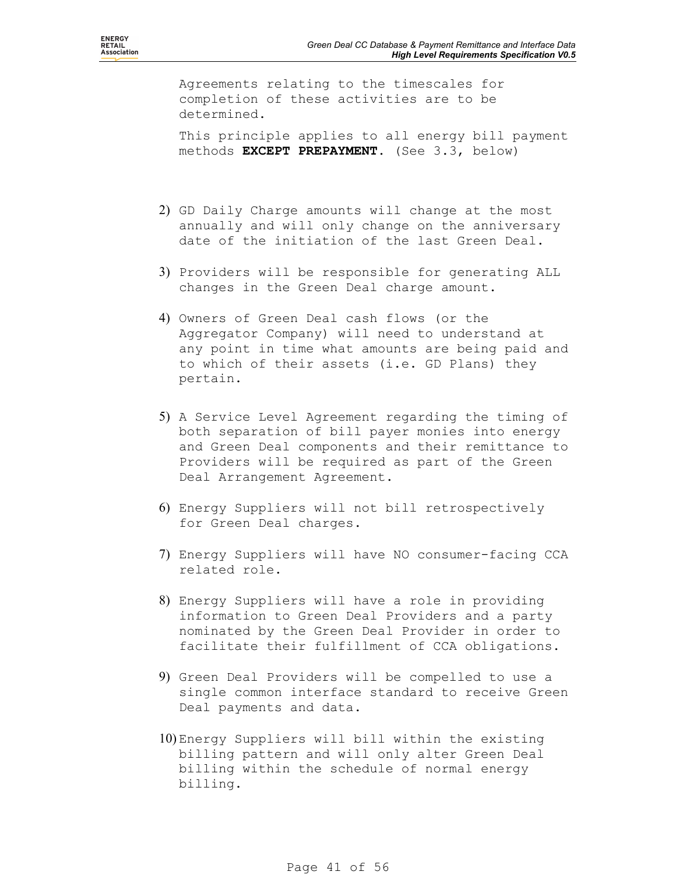Agreements relating to the timescales for completion of these activities are to be determined.

This principle applies to all energy bill payment methods **EXCEPT PREPAYMENT**. (See 3.3, below)

- 2) GD Daily Charge amounts will change at the most annually and will only change on the anniversary date of the initiation of the last Green Deal.
- 3) Providers will be responsible for generating ALL changes in the Green Deal charge amount.
- 4) Owners of Green Deal cash flows (or the Aggregator Company) will need to understand at any point in time what amounts are being paid and to which of their assets (i.e. GD Plans) they pertain.
- 5) A Service Level Agreement regarding the timing of both separation of bill payer monies into energy and Green Deal components and their remittance to Providers will be required as part of the Green Deal Arrangement Agreement.
- 6) Energy Suppliers will not bill retrospectively for Green Deal charges.
- 7) Energy Suppliers will have NO consumer-facing CCA related role.
- 8) Energy Suppliers will have a role in providing information to Green Deal Providers and a party nominated by the Green Deal Provider in order to facilitate their fulfillment of CCA obligations.
- 9) Green Deal Providers will be compelled to use a single common interface standard to receive Green Deal payments and data.
- 10) Energy Suppliers will bill within the existing billing pattern and will only alter Green Deal billing within the schedule of normal energy billing.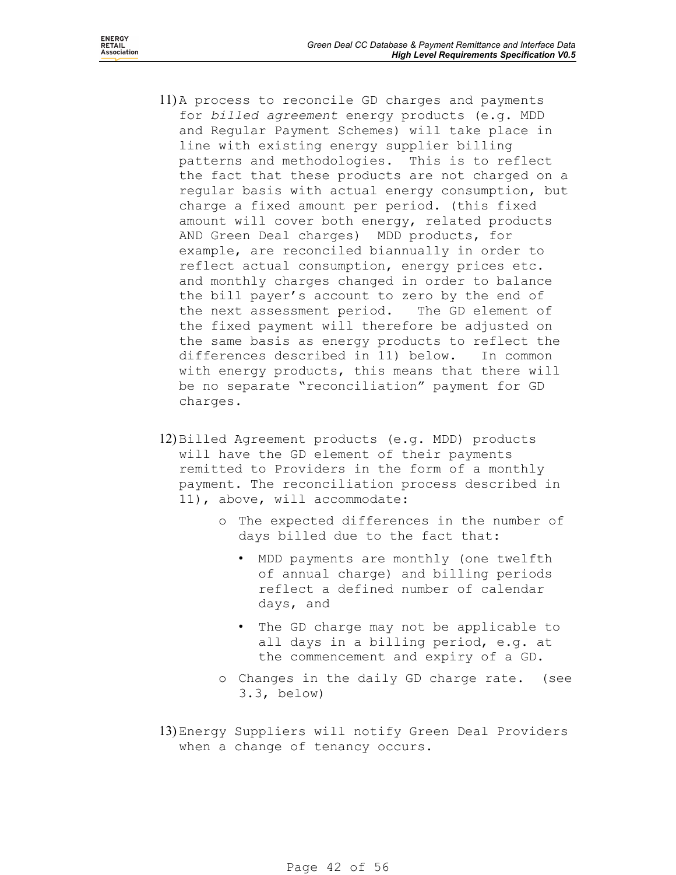- 11) A process to reconcile GD charges and payments for *billed agreement* energy products (e.g. MDD and Regular Payment Schemes) will take place in line with existing energy supplier billing patterns and methodologies. This is to reflect the fact that these products are not charged on a regular basis with actual energy consumption, but charge a fixed amount per period. (this fixed amount will cover both energy, related products AND Green Deal charges) MDD products, for example, are reconciled biannually in order to reflect actual consumption, energy prices etc. and monthly charges changed in order to balance the bill payer's account to zero by the end of the next assessment period. The GD element of the fixed payment will therefore be adjusted on the same basis as energy products to reflect the differences described in 11) below. In common with energy products, this means that there will be no separate "reconciliation" payment for GD charges.
- 12) Billed Agreement products (e.g. MDD) products will have the GD element of their payments remitted to Providers in the form of a monthly payment. The reconciliation process described in 11), above, will accommodate:
	- o The expected differences in the number of days billed due to the fact that:
		- MDD payments are monthly (one twelfth of annual charge) and billing periods reflect a defined number of calendar days, and
		- The GD charge may not be applicable to all days in a billing period, e.g. at the commencement and expiry of a GD.
	- o Changes in the daily GD charge rate. (see 3.3, below)
- 13) Energy Suppliers will notify Green Deal Providers when a change of tenancy occurs.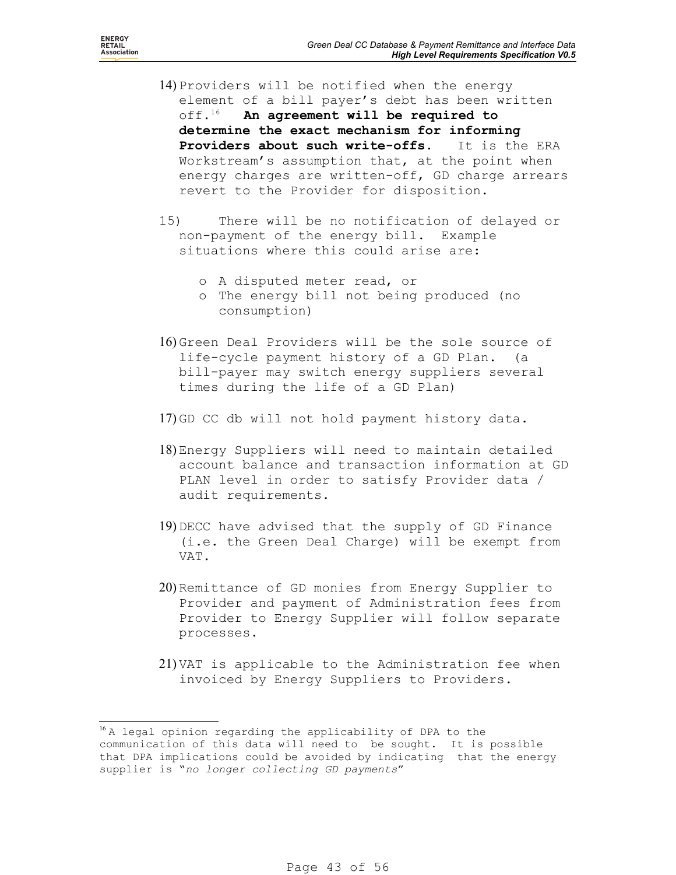- 14) Providers will be notified when the energy element of a bill payer's debt has been written off.[16](#page-42-0) **An agreement will be required to determine the exact mechanism for informing Providers about such write-offs.** It is the ERA Workstream's assumption that, at the point when energy charges are written-off, GD charge arrears revert to the Provider for disposition.
- 15) There will be no notification of delayed or non-payment of the energy bill. Example situations where this could arise are:
	- o A disputed meter read, or
	- o The energy bill not being produced (no consumption)
- 16) Green Deal Providers will be the sole source of life-cycle payment history of a GD Plan. (a bill-payer may switch energy suppliers several times during the life of a GD Plan)
- 17) GD CC db will not hold payment history data.
- 18) Energy Suppliers will need to maintain detailed account balance and transaction information at GD PLAN level in order to satisfy Provider data / audit requirements.
- 19) DECC have advised that the supply of GD Finance (i.e. the Green Deal Charge) will be exempt from VAT.
- 20) Remittance of GD monies from Energy Supplier to Provider and payment of Administration fees from Provider to Energy Supplier will follow separate processes.
- 21) VAT is applicable to the Administration fee when invoiced by Energy Suppliers to Providers.

<span id="page-42-0"></span><sup>&</sup>lt;sup>16</sup> A legal opinion regarding the applicability of DPA to the communication of this data will need to be sought. It is possible that DPA implications could be avoided by indicating that the energy supplier is "*no longer collecting GD payments*"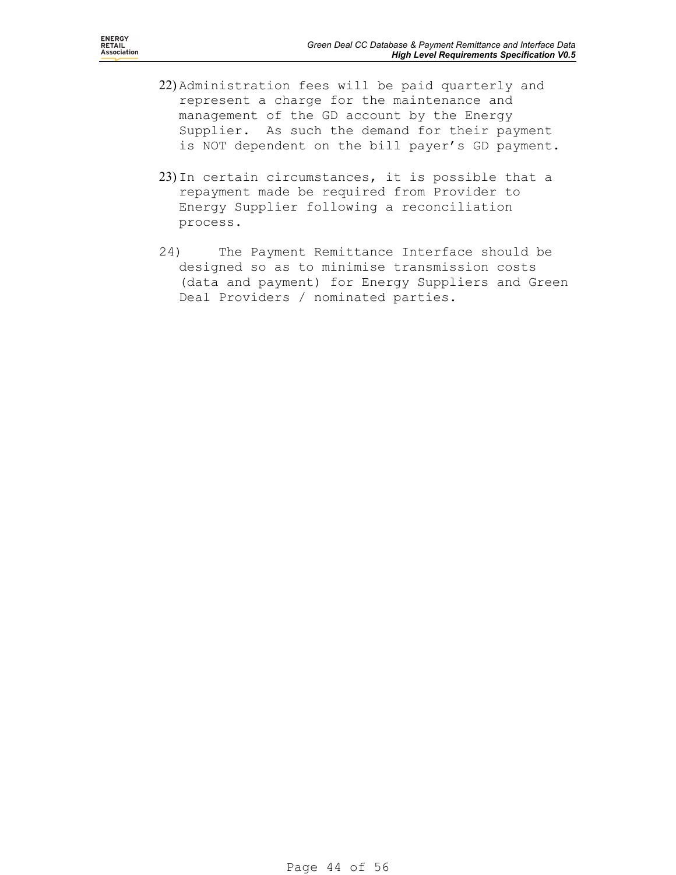- 22) Administration fees will be paid quarterly and represent a charge for the maintenance and management of the GD account by the Energy Supplier. As such the demand for their payment is NOT dependent on the bill payer's GD payment.
- 23) In certain circumstances, it is possible that a repayment made be required from Provider to Energy Supplier following a reconciliation process.
- 24) The Payment Remittance Interface should be designed so as to minimise transmission costs (data and payment) for Energy Suppliers and Green Deal Providers / nominated parties.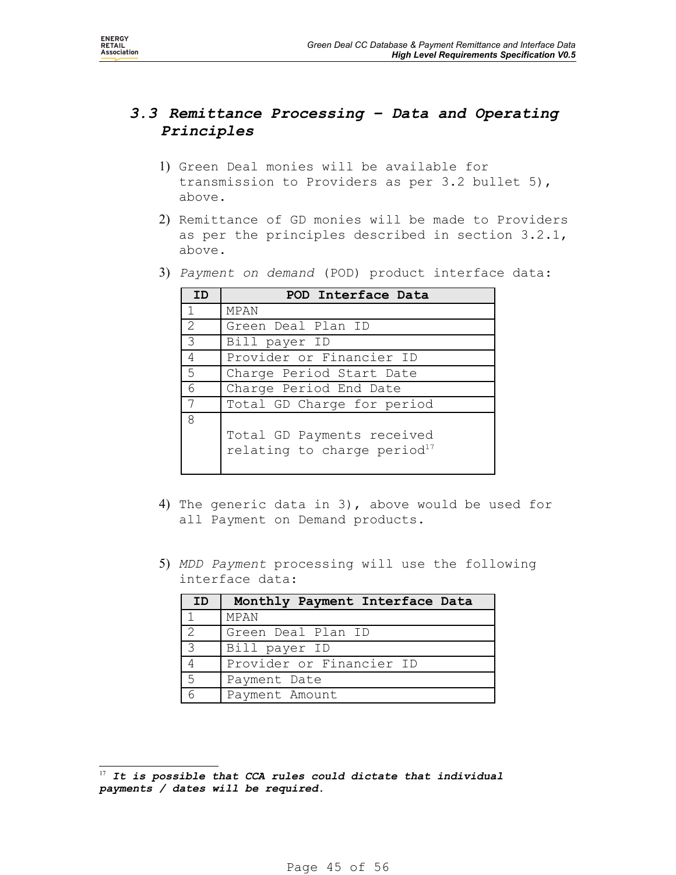## <span id="page-44-0"></span>*3.3 Remittance Processing – Data and Operating Principles*

- 1) Green Deal monies will be available for transmission to Providers as per 3.2 bullet 5), above.
- 2) Remittance of GD monies will be made to Providers as per the principles described in section 3.2.1, above.
- 3) *Payment on demand* (POD) product interface data:

| ΙD             | POD Interface Data                                                    |
|----------------|-----------------------------------------------------------------------|
| 1              | MPAN                                                                  |
| 2              | Green Deal Plan ID                                                    |
| $\mathcal{S}$  | Bill payer ID                                                         |
| $\overline{4}$ | Provider or Financier ID                                              |
| $\overline{5}$ | Charge Period Start Date                                              |
| 6              | Charge Period End Date                                                |
| 7              | Total GD Charge for period                                            |
| 8              |                                                                       |
|                | Total GD Payments received<br>relating to charge period <sup>17</sup> |

- 4) The generic data in 3), above would be used for all Payment on Demand products.
- 5) *MDD Payment* processing will use the following interface data:

| ID             | Monthly Payment Interface Data |
|----------------|--------------------------------|
|                | MPAN                           |
| -2             | Green Deal Plan ID             |
| $\sqrt{3}$     | Bill payer ID                  |
| $\overline{4}$ | Provider or Financier ID       |
| $\overline{5}$ | Payment Date                   |
|                | Payment Amount                 |

<span id="page-44-1"></span><sup>17</sup> *It is possible that CCA rules could dictate that individual payments / dates will be required.*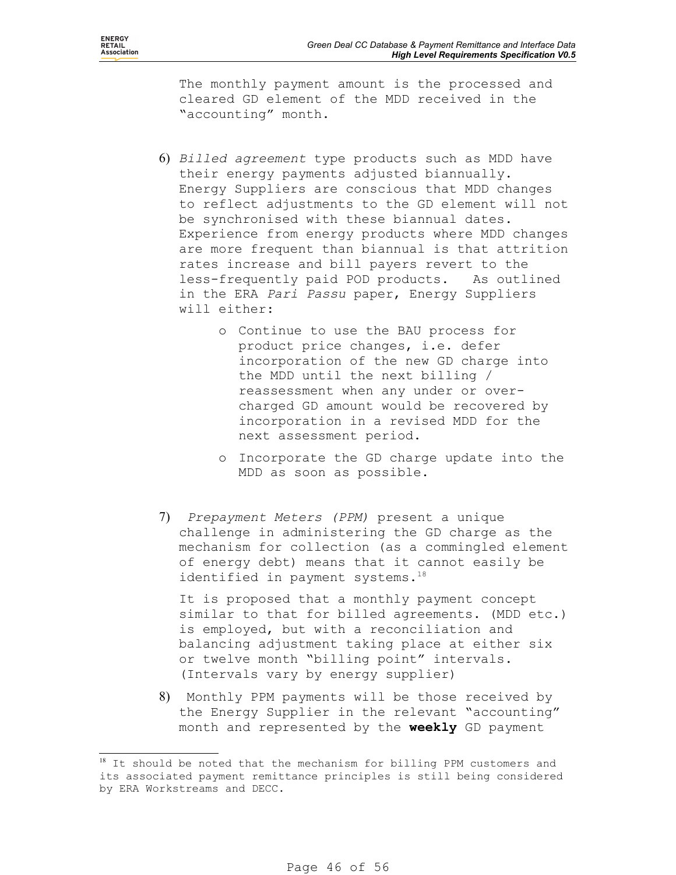The monthly payment amount is the processed and cleared GD element of the MDD received in the "accounting" month.

- 6) *Billed agreement* type products such as MDD have their energy payments adjusted biannually. Energy Suppliers are conscious that MDD changes to reflect adjustments to the GD element will not be synchronised with these biannual dates. Experience from energy products where MDD changes are more frequent than biannual is that attrition rates increase and bill payers revert to the less-frequently paid POD products. As outlined in the ERA *Pari Passu* paper, Energy Suppliers will either:
	- o Continue to use the BAU process for product price changes, i.e. defer incorporation of the new GD charge into the MDD until the next billing / reassessment when any under or overcharged GD amount would be recovered by incorporation in a revised MDD for the next assessment period.
	- o Incorporate the GD charge update into the MDD as soon as possible.
- 7) *Prepayment Meters (PPM)* present a unique challenge in administering the GD charge as the mechanism for collection (as a commingled element of energy debt) means that it cannot easily be identified in payment systems.<sup>[18](#page-45-0)</sup>

It is proposed that a monthly payment concept similar to that for billed agreements. (MDD etc.) is employed, but with a reconciliation and balancing adjustment taking place at either six or twelve month "billing point" intervals. (Intervals vary by energy supplier)

8) Monthly PPM payments will be those received by the Energy Supplier in the relevant "accounting" month and represented by the **weekly** GD payment

<span id="page-45-0"></span><sup>&</sup>lt;sup>18</sup> It should be noted that the mechanism for billing PPM customers and its associated payment remittance principles is still being considered by ERA Workstreams and DECC.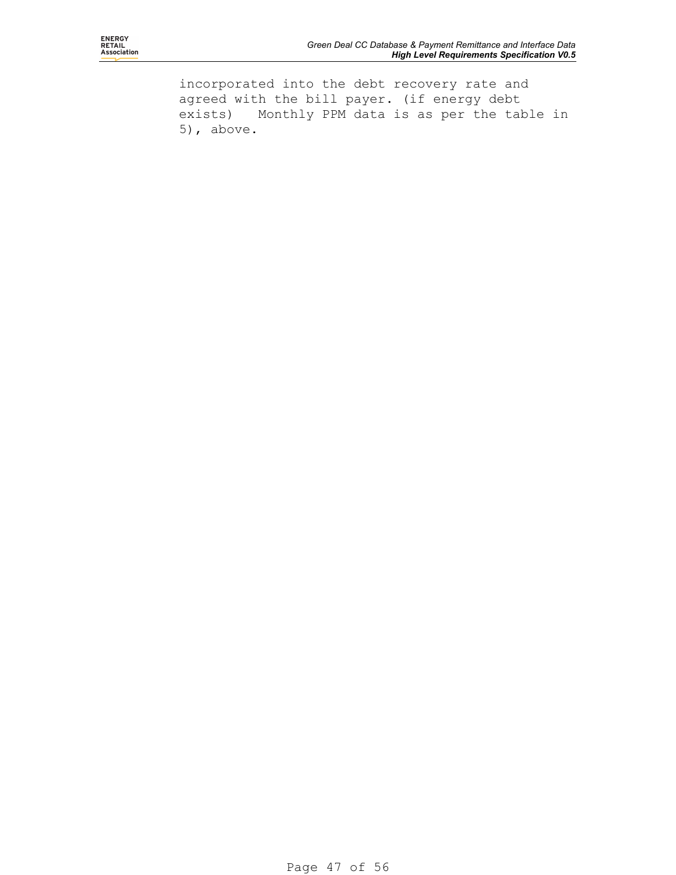incorporated into the debt recovery rate and agreed with the bill payer. (if energy debt exists) Monthly PPM data is as per the table in 5), above.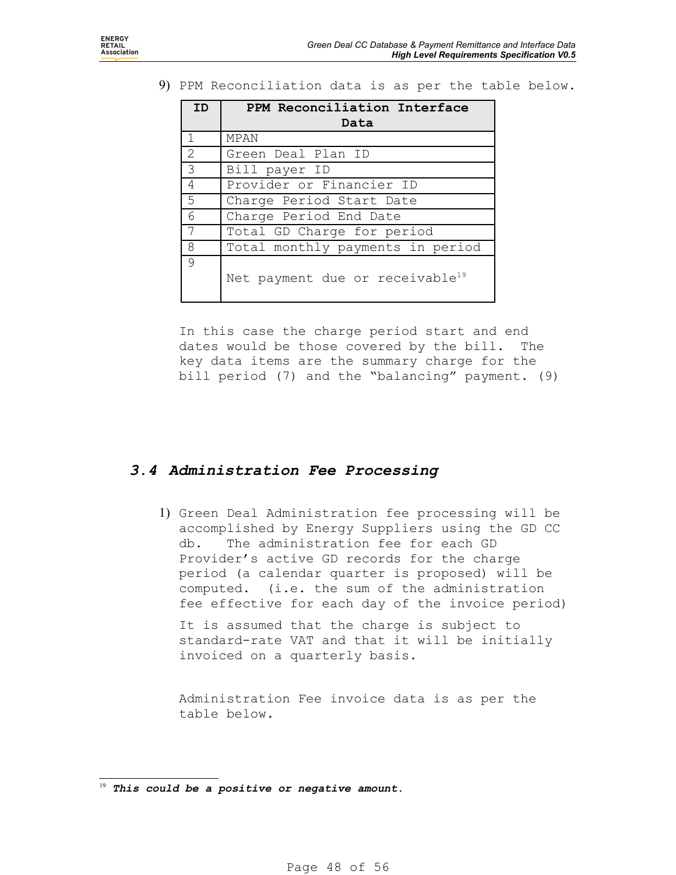9) PPM Reconciliation data is as per the table below.

| ID             | PPM Reconciliation Interface                |
|----------------|---------------------------------------------|
|                | Data                                        |
| 1              | MPAN                                        |
| 2              | Green Deal Plan ID                          |
| 3              | Bill payer ID                               |
| $\overline{4}$ | Provider or Financier ID                    |
| 5              | Charge Period Start Date                    |
| 6              | Charge Period End Date                      |
| 7              | Total GD Charge for period                  |
| 8              | Total monthly payments in period            |
| 9              |                                             |
|                | Net payment due or receivable <sup>19</sup> |

In this case the charge period start and end dates would be those covered by the bill. The key data items are the summary charge for the bill period (7) and the "balancing" payment. (9)

## <span id="page-47-0"></span>*3.4 Administration Fee Processing*

1) Green Deal Administration fee processing will be accomplished by Energy Suppliers using the GD CC db. The administration fee for each GD Provider's active GD records for the charge period (a calendar quarter is proposed) will be computed. (i.e. the sum of the administration fee effective for each day of the invoice period)

It is assumed that the charge is subject to standard-rate VAT and that it will be initially invoiced on a quarterly basis.

Administration Fee invoice data is as per the table below.

<span id="page-47-1"></span><sup>19</sup> *This could be a positive or negative amount.*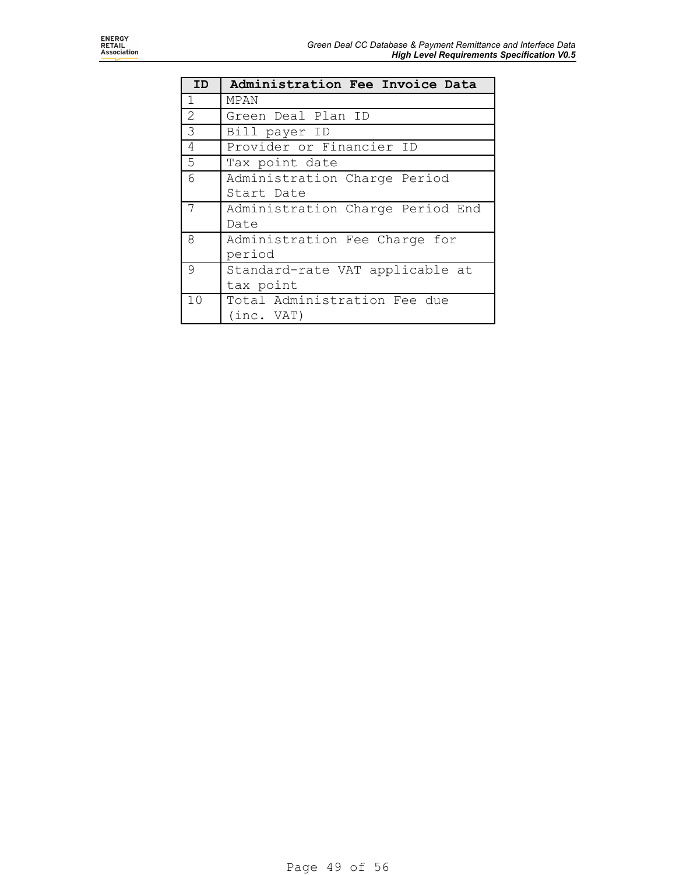| ID             | Administration Fee Invoice Data  |
|----------------|----------------------------------|
| $\mathbf{1}$   | MPAN                             |
| 2              | Green Deal Plan ID               |
| $\overline{3}$ | Bill payer ID                    |
| $\overline{4}$ | Provider or Financier ID         |
| $\overline{5}$ | Tax point date                   |
| $\overline{6}$ | Administration Charge Period     |
|                | Start Date                       |
| 7              | Administration Charge Period End |
|                | Date                             |
| 8              | Administration Fee Charge for    |
|                | period                           |
| 9              | Standard-rate VAT applicable at  |
|                | tax point                        |
| 10             | Total Administration Fee due     |
|                | (inc. VAT)                       |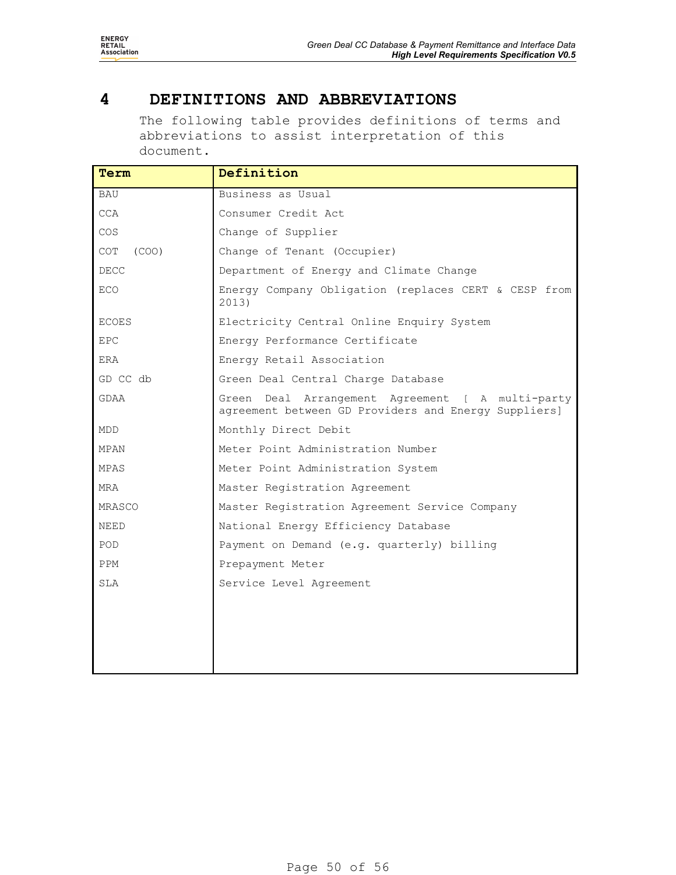## **4 DEFINITIONS AND ABBREVIATIONS**

<span id="page-49-0"></span>The following table provides definitions of terms and abbreviations to assist interpretation of this document.

| Definition                                                                                                  |
|-------------------------------------------------------------------------------------------------------------|
| Business as Usual                                                                                           |
| Consumer Credit Act                                                                                         |
| Change of Supplier                                                                                          |
| Change of Tenant (Occupier)                                                                                 |
| Department of Energy and Climate Change                                                                     |
| Energy Company Obligation (replaces CERT & CESP from<br>2013)                                               |
| Electricity Central Online Enquiry System                                                                   |
| Energy Performance Certificate                                                                              |
| Energy Retail Association                                                                                   |
| Green Deal Central Charge Database                                                                          |
| Green<br>Deal Arrangement Agreement [ A multi-party<br>agreement between GD Providers and Energy Suppliers] |
| Monthly Direct Debit                                                                                        |
| Meter Point Administration Number                                                                           |
| Meter Point Administration System                                                                           |
| Master Registration Agreement                                                                               |
| Master Registration Agreement Service Company                                                               |
| National Energy Efficiency Database                                                                         |
| Payment on Demand (e.g. quarterly) billing                                                                  |
| Prepayment Meter                                                                                            |
| Service Level Agreement                                                                                     |
|                                                                                                             |
|                                                                                                             |
|                                                                                                             |
|                                                                                                             |
|                                                                                                             |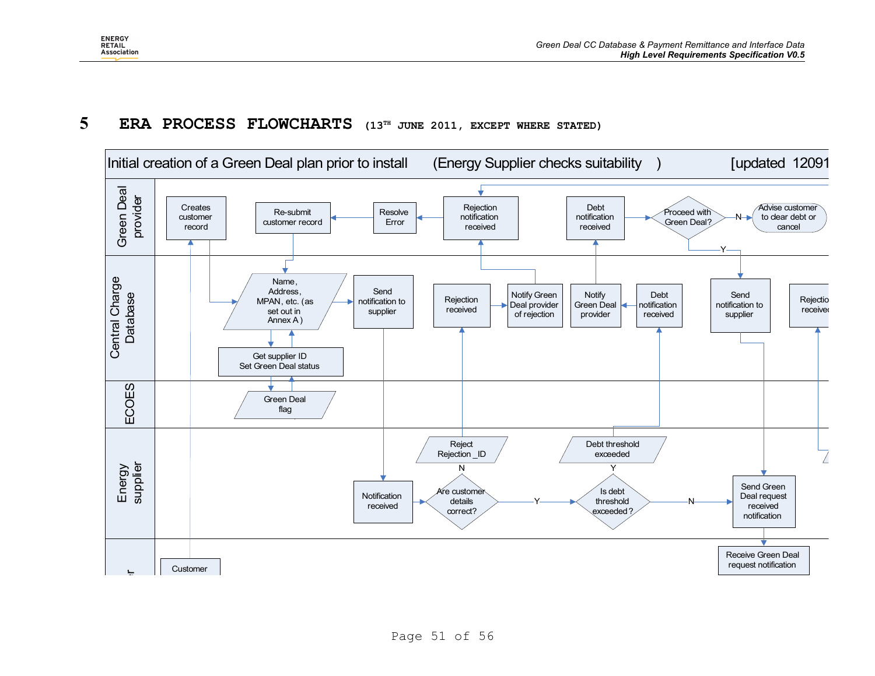

## **5 ERA PROCESS FLOWCHARTS (13TH JUNE 2011, EXCEPT WHERE STATED)**

<span id="page-50-0"></span>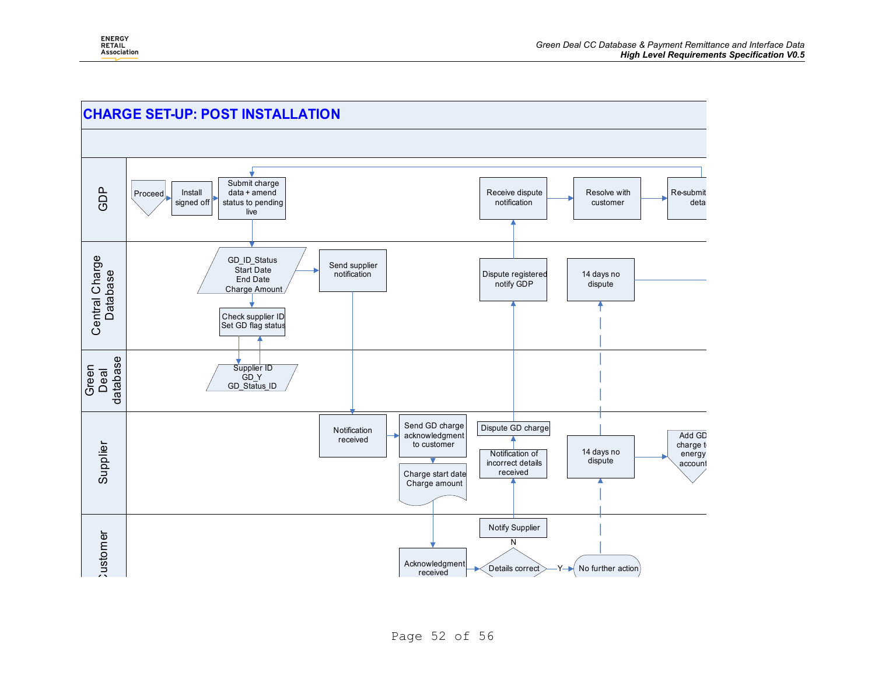

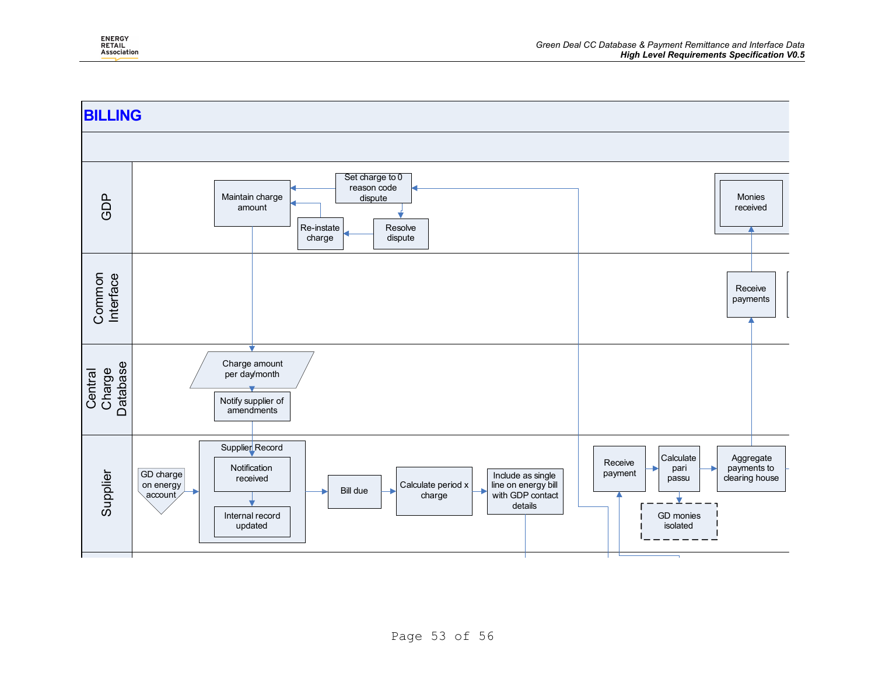



## Page 53 of 56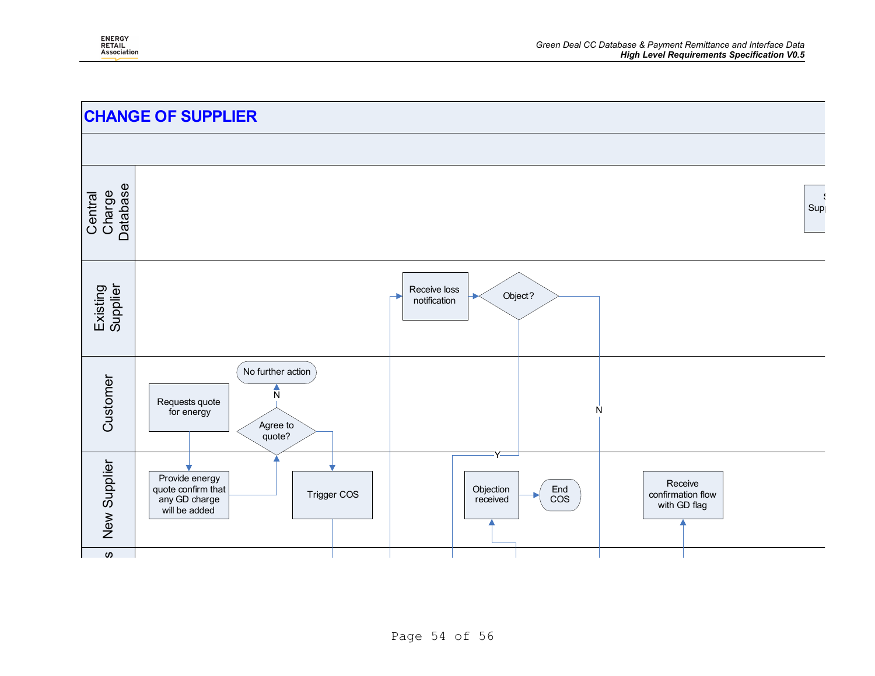

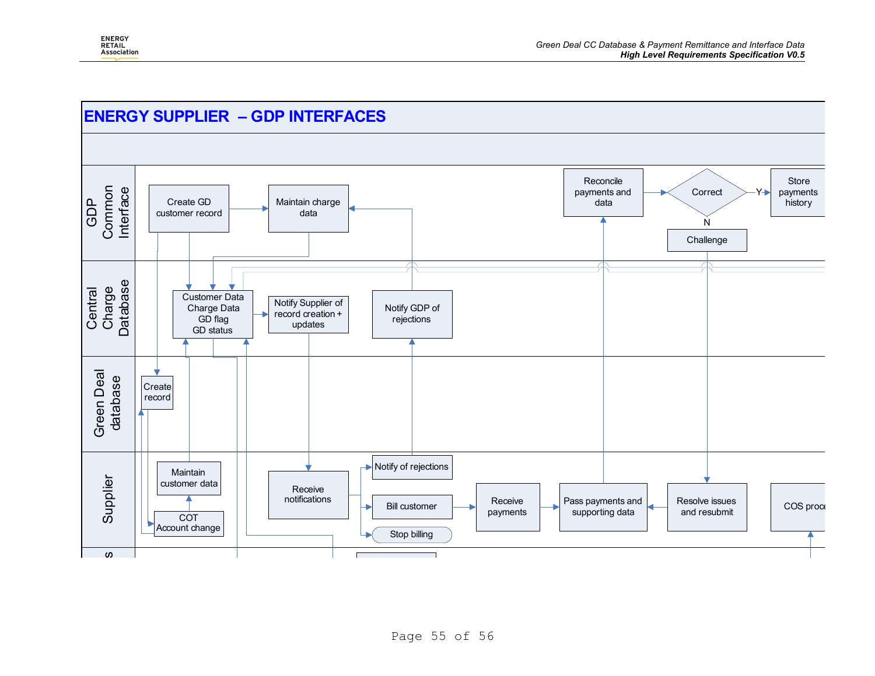#### Store Reconcile n Interfa cepayments and Correct payments o Create GD Maintain charge data history  $\mathsf n$ ي E customer record data  $\mathsf{\Omega}$ i ∃ GN o د ں **Challenge** Data basearg e ntral Customer Data Notify Supplier of Notify GDP of Charge Data record creation + e GD flag rejections . ج updates ပ ( ر ں GD status ত্ত data base $\mathbf{\omega}$  . **Create**  $\overline{\Omega}$  is record n Gre e Notify of rejections **Maintain** Supplier customer data Receive notifications Bill customer Receive Pass payments and Resolve issues COS proce supporting data payments and resubmit **COT** Account change Stop billing  $\boldsymbol{\omega}$ Г

# **ENERGY SUPPLIER – GDP INTERFACES**